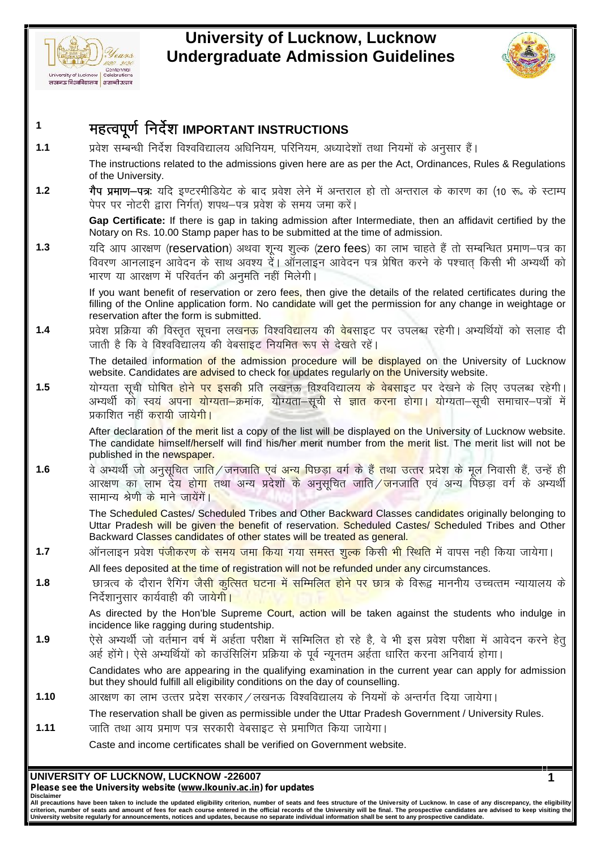



**1**

Every of Lucknow, Lucknow<br>
Every of Lucknow Controllers<br>
Every of Lucknow Controllers<br>
Every of Lucknow Controllers<br>
Every of Lucknow Controllers<br>
The instructions related to the admissions given here are as per the Act Th <sub>University of Lucknow | Collectritions</sub><br>
लेखनऊ विश्वविद्यालय | शताबी उत्तव<br>**1.1** प्रयेश सम्बन्धी निर्देश विश्वविद्यालय अधिनियम, परिनियम, अध्यादेशों तथा नियमों के अनुसार हैं |<br>The instructions related to the admissions gi The instructions related to the admissions given here are as per the Act, Ordinances, Rules & Regulations of the University. र्**महत्वपूर्ण निर्देश IMPORTANT INSTRUCTIONS**<br>1.1 प्रवेश सम्बन्धी निर्देश विश्वविद्यालय अधिनियम, परिनियम, अध्यादेशों तथा नियमों के अनुसार हैं।<br>The instructions related to the admissions given here are as per the Act, Ordi **महत्वपूर्ण निर्देश IMPORTANT INSTRUCTIONS**<br>प्रवेश सम्बन्धी निर्देश विश्वविद्यालय अधिनियम, परिनियम, अध्यादेशों तथा नियमों के अनुसार हैं।<br>The instructions related to the admissions given here are as per the Act, Ordinances

**Gap Certificate:** If there is gap in taking admission after Intermediate, then an affidavit certified by the Notary on Rs. 10.00 Stamp paper has to be submitted at the time of admission.

Triangled to University.<br>
1.2 **गैप प्रमाण-पत्र:** यदि इण्टरमीडियेट के बाद प्रवेश लेने में अन्तराल हो तो अन्तराल के कारण का (10 रू. के स्टाम्प<br>
पेपर पर नोटरी द्वारा निर्गत) शपथ-पत्र प्रवेश के समय जमा करें।<br> **Gap Certificate** गैप प्रमाण–पत्र: यदि इण्टरमीडियेट के बाद प्रवेश लेने में अन्तराल हो तो अन्तराल के कारण का (10 रू. के स्टाम्प पेपर पर नोटरी द्वारा निर्गत) शपथ–पत्र प्रवेश के समय जमा करें।<br>Gap Certificate: If there is gap in taking admissi यदि आप आरक्षण (reservation) अथवा शून्य शुल्क (zero fees) का लाभ चाहते हैं तो सम्बन्धित प्रमाण–पत्र का<br>विवरण आनलाइन आवेदन के साथ अवश्य दें। ऑनलाइन आवेदन पत्र प्रेषित करने के पश्चात् किसी भी अभ्यर्थी को<br>भारण या आरक्षण में प

If you want benefit of reservation or zero fees, then give the details of the related certificates during the  $\parallel$ filling of the Online application form. No candidate will get the permission for any change in weightage or reservation after the form is submitted. n and strain in the strainer of the strainer of the strainer and a complete the details of the related certificates during the strain strain in strain in strain in strain in strain and a very strain in the strain property सारण या आरक्षण में परिवर्तन की अनुमति नहीं मिलेगी ।<br>If you want benefit of reservation or zero fees, then give the details of the related cer<br>filling of the Online application form. No candidate will get the permission fo

The detailed information of the admission procedure will be displayed on the University of Lucknow website. Candidates are advised to check for updates regularly on the University website.

**1.5** ;ksX;rk l wph ?kk sf"kr gksus ij bldh çfr y[kuÅ fo'ofo|ky; ds osclkbV ij ns[kus ds fy, miyC/k jgsxhA प्रवेश प्रक्रिया की विस्तृत सूचना लख<mark>नऊ</mark> विश्वविद्यालय की <mark>वेब</mark>साइट पर उपलब्ध रहेगी। अभ्यर्थियों को सलाह दी<br>जाती है कि वे विश्वविद्यालय की वेबसाइट नियमित रूप से देखते रहें।<br>Website. Candidates are advised to check for upd जाती है कि वे विश्वविद्यालय की वेबसाइट नियमि<mark>त ज</mark><br>The detailed information of the admission pro<br>website. Candidates are advised to check for up<br>योग्यता सूची घोषित होने पर इसकी प्रति लखनऊ<br>अभ्यर्थी को स्वयं अपना योग्यता—क्र

After declaration of the merit list a copy of the list will be displayed on the University of Lucknow website. The candidate himself/herself will find his/her merit number from the merit list. The merit list will not be published in the newspaper.

म्यर्थी को स्वयं अपन<mark>ा योग्यता-क्रमांक, योग्यता-सूची से ज्ञात करना</mark> होगा। योग्यता-सूची समाचार-पत्रों में प्रकाशित नहीं करायी जायेगी।<br>प्रकाशित नहीं करायी जायेगी।<br>After declaration of the merit list a copy of the list will xकाशित नहीं <mark>करायी जायेगी।</mark><br>After declaration of the merit list a copy of the list will be displayed on the University of Lucknow website.<br>The candidate himself/herself will find his/her merit number from the merit list. Merican of the merit list a copy of the list will be displayed on the University of Lucknow website.<br>The candidate himself/herself will find his/her merit number from the merit list. The merit list will not be<br>published i

Uttar Pradesh will be given the benefit of reservation. Scheduled Castes/ Scheduled Tribes and Other Backward Classes candidates of other states will be treated as general. अरक्षण का लाभ देय होगा तथा अन्य प्रदेशों के अनुसूचित जाति / जनजाति एवं अन्य पिछड़ा वर्ग के अभ्यर्थी<br>सामान्य श्रेणी के माने जायेंगें।<br>The Scheduled Castes/ Scheduled Tribes and Other Backward Classes candidates originally

- All fees deposited at the time of registration will not be refunded under any circumstances.
- **1.8** Nk=Ro ds nkSjku jSfxax tSlh dqfRlr ?kVuk esa lfEefyr gksus ij Nk= ds fo:} ekuuh; mPpRre U;k;ky; ds vgZ gksaxsA ,sl s vH;fFkZ;k sa dk s dkmaflfyax çfØ;k d s iwoZ U;wure vgZrk /kkfjr djuk vfuok;Z gksxkA निर्देशानसार कार्यवाही की जा<mark>येगी।</mark> All fees deposited <mark>at the time of registration will not be refunded under any circumstances.<br>
1.8 The Factor के दौरान रैगिंग जैसी कुत्सित घटना में सम्मिलित होने पर छात्र के विरुद्ध माननीय उच्चत्तम न्यायालय के<br>
निर्देशानु</mark>

As directed by the Hon'ble Supreme Court, action will be taken against the students who indulge in incidence like ragging during studentship.

incidence like ragging during studentship.<br>
1.9 ऐसे अभ्यर्थी जो वर्तमान वर्ष में अईता परीक्षा में सम्मिलित हो रहे है, वे भी इस प्रवेश परीक्षा में आवेदन क<br>
अर्ह होंगे। ऐसे अभ्यर्थियों को काउंसिलिंग प्रक्रिया के पूर्व न्यून

Candidates who are appearing in the qualifying examination in the current year can apply for admission but they should fulfill all eligibility conditions on the day of counselling. अर्ह होंगे | ऐसे अभ्यथियों को काउंसिलिंग प्रक्रिया के पूर्व न्यूनतम अर्हता धारित क<br>Candidates who are appearing in the qualifying examination in the currer<br>but they should fulfill all eligibility conditions on the day of

The reservation shall be given as permissible under the Uttar Pradesh Government / University Rules.

Caste and income certificates shall be verified on Government website.

## **UNIVERSITY OF LUCKNOW, LUCKNOW -226007**

*Please see the University website (www.lkouniv.ac.in) for updates* **Disclaimer**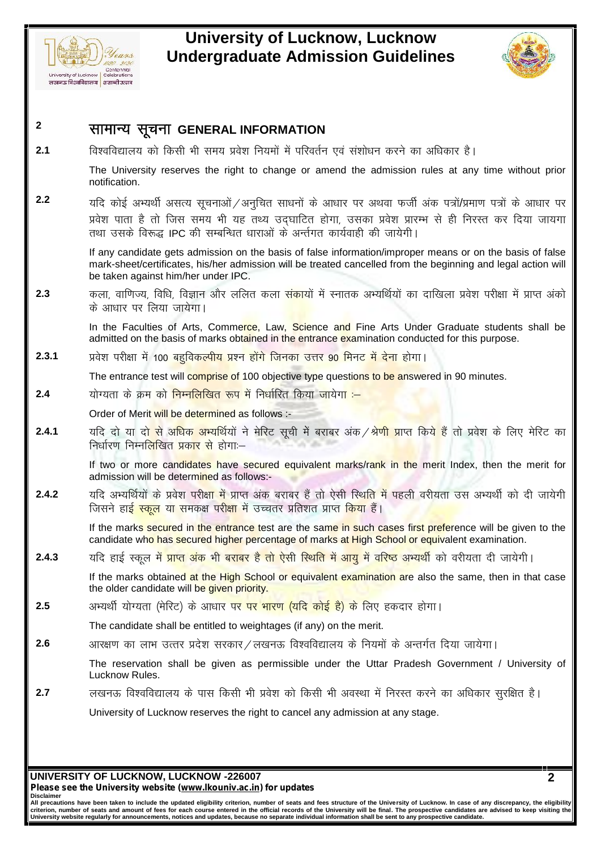



# **<sup>2</sup> lkekU; lwpuk GENERAL INFORMATION** <sub>*Iniversity of Luckhow*<br><sup>2</sup> **सामान्य सूचना GENERAL INFORMATION**<br>2.1 विश्वविद्यालय को किसी भी समय प्रवेश नियमों में परिवर्तन एवं संशोधन करने का अधिकार है।<br><sup>2.1</sup> The University reserves the right to change or ame</sub> The University reserves the right to change or amend the admission rules at any time without prior  $\parallel$ notification. 2.1 **दीरवादिय स्टूचना GENERAL INFORMATION**<br>2.1 विश्वविद्यालय को किसी भी समय प्रवेश नियमों में परिवर्तन एवं संशोधन करने का अधिकार है।<br>The University reserves the right to change or amend the admission rules at any time wit विश्वविद्यालय को किसी भी समय प्रवेश नियमों में परिवर्तन एवं संशोधन करने का अधिकार है।<br>The University reserves the right to change or amend the admission rules at any time without prior<br>notification.<br>प्रवेश पाता है तो जिस The University reserves the right to change or amend the admission rules an<br>otification.<br>यदि कोई अभ्यर्थी असत्य सूचनाओं / अनुचित साधनों के आधार पर अथवा फर्जी अंक पत्र<br>प्रवेश पाता है तो जिस समय भी यह तथ्य उद्घाटित होगा, उ If any candidate gets admission on the basis of false information/improper means or on the basis of false mark-sheet/certificates, his/her admission will be treated cancelled from the beginning and legal action will be taken against him/her under IPC. प्रवेश पाता है तो जिस समय भी यह तथ्य उद्घाटित होगा, उसका प्रवेश प्रारम्भ से ही निरस्त कर दिया जायगा<br>तथा उसके विरूद्ध IPC की सम्बन्धित धाराओं के अर्न्तगत कार्यवाही की जायेगी।<br>If any candidate gets admission on the basis of के आधार पर लिया जायेगा। In the Faculties of Arts, Commerce, Law, Science and Fine Arts Under Graduate students shall be admitted on the basis of marks obtained in the entrance examination conducted for this purpose. **2.3** कला, वाणिज्य, विधि, विज्ञान और ललित कला संकायों में स्नातक अभ्यर्थियों का दाखिला प्रवेश परी<br>के आधार पर लिया जायेगा।<br>In the Faculties of Arts, Comme<mark>rce</mark>, Law, Science and Fine Arts Under Graduate studd admitted on t The entrance test will comprise of 100 objective type questions to be answered in 90 minutes. the Faculties of Arts, Comme<mark>rce</mark>, Law, Science and Fine Arts Understand admitted on the basis of marks obtained in the entrance examination con<br>
2.3.1 प्रवेश परीक्षा में 100 बहुविकल्पीय प्रश्न होंगे जिनका उत्तर 90 मिनट म Order of Merit will be determined as follows :- **2.4.1** ;fn nks ;k nks l s vf/kd vH;fFkZ;ks a us esfjV l wph es a cjkcj vad@Js.kh çkIr fd;s gS <sup>a</sup> rks ços"k ds fy, esfjV dk योग्यता के क्रम को निम्<mark>नलिखित रूप में निर्धारित किया जा</mark>येग<mark>ा :--</mark><br>Order of Merit <mark>will be determined as follows :-<br>यदि दो या दो से अधिक अभ्यर्थियों ने मेरिट सूची में बराबर अंक / <mark>श्रेणी प्राप्त किये हैं</mark> तो प्रवेश के लि</mark> If two or more candidates have secured equivalent marks/rank in the merit Index, then the merit for admission will be determined as follows:- **2.4.2** ;fn vH;fFkZ;ks a ds ço s'k ijh{kk esa çkIr vad cjkcj gaS rks ,slh fLFkfr esa igyh ojh;rk ml vH;FkhZ dk s nh tk;sxh यदि अभ्यर्थियों के प्रवेश परीक्<mark>षा में</mark> प्राप्त अंक बराबर हैं तो ऐसी स्थिति में पहली वरीयता उस अभ्यर्थी को दी जायेगी<br>जिसने हाई <mark>स्कल या समकक्ष परीक्षा</mark> में उच्चतर प्रतिशत प्राप्त <mark>किया</mark> हैं। If the marks secured in the entrance test are the same in such cases first preference will be given to the candidate who has secured higher percentage of marks at High School or equivalent examination. **2.4.2** in a stating the set of the contribute as follows.<br>
2.4.2 in grad an additional property of the entrance test are the same in such cases first preference will be given to the<br>
candidate who has secured higher perc If the marks obtained at the High School or equivalent examination are also the same, then in that case the older candidate will be given priority. n the marks secured in the entrance test are the same in such cases hist preference win be given<br>candidate who has secured higher percentage of marks at High School or equivalent examination.<br>2.4.3 यदि हाई स्कूल में <mark>प्रा</mark> The candidate shall be entitled to weightages (if any) on the merit. if the marks obtained at the High School or equivalent examination are also the same, then in that<br>the older candidate will be given priority.<br>2.5 अभ्यर्थी योग्यता (मेरिट) के आधार पर पर भारण (यदि कोई है) के लिए हकदार होगा The reservation shall be given as permissible under the Uttar Pradesh Government / University of Lucknow Rules. The candidate shall be entitled to weightages (if any) on the merit.<br>
2.6 अगरक्षण का लाभ उत्तर प्रदेश सरकार ⁄ लखनऊ विश्वविद्यालय के नियमों के अन्तर्गत दिया जायेगा |<br>
The reservation shall be given as permissible under the University of Lucknow reserves the right to cancel any admission at any stage.

**UNIVERSITY OF LUCKNOW, LUCKNOW -226007** *Please see the University website (www.lkouniv.ac.in) for updates*

**Disclaimer**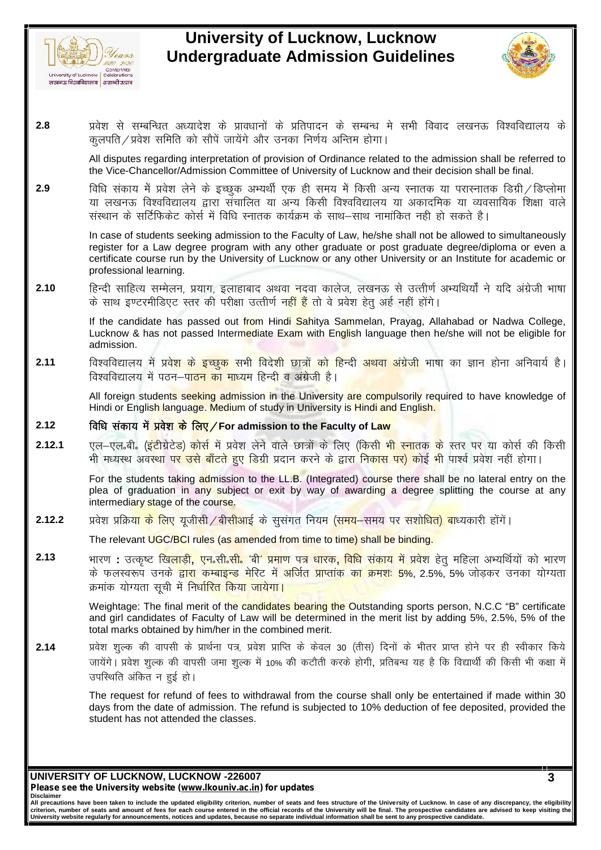



<u>and a *cert* content</u> **and a content of the content of the content of the content of the content of the content of the content of the content of the content of the content of the content of the content of the content of** diniversity d'Lucknow | Celebrations<br>लंबनऊ विश्वविद्यालय | टelebrations<br>• प्रयेश से सम्बन्धित अध्यादेश के प्रावधानों के प्रतिपादन के सम्बन्ध मे सभी विवाद लखनऊ विश्वविद्यालय के<br>• कलपति / प्रवेश समिति को सौपें जायेंगे और उन

All disputes regarding interpretation of provision of Ordinance related to the admission shall be referred to the Vice-Chancellor/Admission Committee of University of Lucknow and their decision shall be final.

2.8 ya प्रवेश से सम्बन्धित अध्यादेश के प्रावधानों के प्रतिपादन के सम्बन्ध मे सभी विवाद लखनऊ विश्वविद्यालय के कुलपति/प्रवेश समिति को सौपें जायेंगे और उनका निर्णय अन्तिम होगा |<br>All disputes regarding interpretation of prov प्रवश स सम्बान्धत अध्यादश क प्रावधाना क प्रांतपादन क सम्बन्ध म सभा विवाद लखनऊ विश्वविद्यालय क<br>कुलपति ⁄ प्रवेश समिति को सौंपें जायेंगे और उनका निर्णय अन्तिम होगा |<br>All disputes regarding interpretation of provision of Ordi कुलपात / प्रवश सामात का साप जायग आर उनका निणय आन्तम हागा |<br>All disputes regarding interpretation of provision of Ordinance related to the admission shall be re<br>the Vice-Chancellor/Admission Committee of University of Luck

In case of students seeking admission to the Faculty of Law, he/she shall not be allowed to simultaneously register for a Law degree program with any other graduate or post graduate degree/diploma or even a certificate course run by the University of Lucknow or any other University or an Institute for academic or professional learning. संस्थान के सर्टिफिकेट कोर्स में विधि स्नातक कार्यक्रम के साथ-साथ नामांकित नही हो सकते है।<br>In case of students seeking admission to the Faculty of Law, he/she shall not be allowed to simultaneously<br>register for a Law degre ln case of students seeking admission to the Faculty of Law, he/she shall not be allower register for a Law degree program with any other graduate or post graduate degree certificate course run by the University of Luckno

If the candidate has passed out from Hindi Sahitya Sammelan, Prayag, Allahabad or Nadwa College, Lucknow & has not passed Intermediate Exam with English language then he/she will not be eligible for admission. 2.10 fift स्वी साहित्य सम्मेलन, प्रयाग, इलाहाबाद अथवा नदवा कालेज, लखनऊ से उत्तीर्ण अभ्यथियों ने यदि अंग्रेजी भाषा<br>के साथ इण्टरमीडिएट स्तर की परीक्षा उत्तीर्ण न<mark>हीं हैं</mark> तो वे प्रवेश हेतु अर्ह नहीं होंगे।<br>If the candidate के साथ इण्टरमीडिएट स्तर की परीक्षा उत्तीर्ण नहीं हैं तो वे प्रवेश हेतु अर्ह नहीं<br>If the candidate has passed out from Hindi Sahitya Sammelan, Praya:<br>Lucknow & has not passed Intermediate Exam with English language th<br>admi

Trim and the Read of the Read of the Read of the Read of the Read of the Faculty of Law and Stadium of study in University are compulsorly required.<br>
All foreign students seeking admission in the University are compulsorl

All foreign students seeking admission in the University are compulsorily required to have knowledge of Hindi or English language. Medium of study in University is Hindi and English.

रिश्वविद्यालय में पठन-पा<mark>ठन का माध्यम हिन्दी व अंग्रेजी है।</mark><br>All foreign student<mark>s seeking admission in the University are compulsorily required to have knowledge of<br>Hindi or English language. Medium of study in Universit</mark> विश्वविद्यालय में पठन—पा<mark>ठन का माध्यम हिन्दी व अंग्रेजी है।</mark><br>All foreign student<mark>s seeking admission in the University are compulsorily</mark> required to have knowledge of<br>Hindi or Englis<mark>h language. Medium of study in Univers</mark>

For the students taking admission to the LL.B. (Integrated) course there shall be no lateral entry on the plea of graduation in any subject or exit by way of awarding a degree splitting the course at any intermediary stage of the course. 2.12.1 एल−एल.बी. (इंटीग्रेटेड) कोर्स में प्रवेश लेने वाले छात्रों के लिए (किसी भी स्नातक के स्तर पर या कोर्स की किसी<br>भी मध्यस्थ अवस्था प<mark>र उसे बाँटते हुए डिग्री</mark> प्रदान करने के द्वारा निकास पर) कोई भी पार्श्व प्रवेश नहीं

The relevant UGC/BCI rules (as amended from time to time) shall be binding.

plea of graduation in any subject or exit by way of awarding a degree splitting the course at any<br>intermediary stage of the course.<br>2.12.2 प्रवेश प्रक्रिय<mark>ा के लिए यूजीसी / बीसीआई</mark> के सुसंगत नियम (समय-समय पर सशोधित) बाध्य प्रवेश प्रक्रिय<mark>ा के लिए यूजीसी ⁄ बीसीआई के सुसंगत नियम (समय</mark>-समय पर सशोधि<mark>त) बा</mark>ध्यकारी होंगें।<br>The relevant <mark>UGC/BCI rules (as amended from time to time) shall be binding.</mark><br>भारण : उत्कृष्ट खिलाड़ी, एन.सी.सी. 'बी' प्रमाण के फलस्वरूप उनके <mark>द्वारा कम्बाइन्ड मेरिट में अर्जित प्राप्तांक का क्रमश: 5%,</mark> 2.5%, 5% जोडकर उनका योग्यता

Weightage: The final merit of the candidates bearing the Outstanding sports person, N.C.C "B" certificate and girl candidates of Faculty of Law will be determined in the merit list by adding 5%, 2.5%, 5% of the total marks obtained by him/her in the combined merit.

कमांक योग्यता सूची में निर्धा<mark>रित किया जायेगा।</mark><br>
Weightage: The final merit of the candidates bearing the Outstanding sports person, N.C.C "B" certificate<br>
and girl candidates of Faculty of Law will be determined in the m so and girl cannot gent of the candidates bearing the Outstanding sports person, N.C.C "B" certificate and girl candidates of Faculty of Law will be determined in the merit list by adding 5%, 2.5%, 5% of the total marks o Weightage: The final merit of the candidates<br>and girl candidates of Faculty of Law will be<br>total marks obtained by him/her in the combir<br>प्रवेश शुल्क की वापसी जे प्रार्थना पत्र, प्रवेश प्राप्ति<br>जायेंगे । प्रवेश शुल्क

The request for refund of fees to withdrawal from the course shall only be entertained if made within 30 days from the date of admission. The refund is subjected to 10% deduction of fee deposited, provided the student has not attended the classes.

**UNIVERSITY OF LUCKNOW, LUCKNOW -226007**

*Please see the University website (www.lkouniv.ac.in) for updates* **Disclaimer**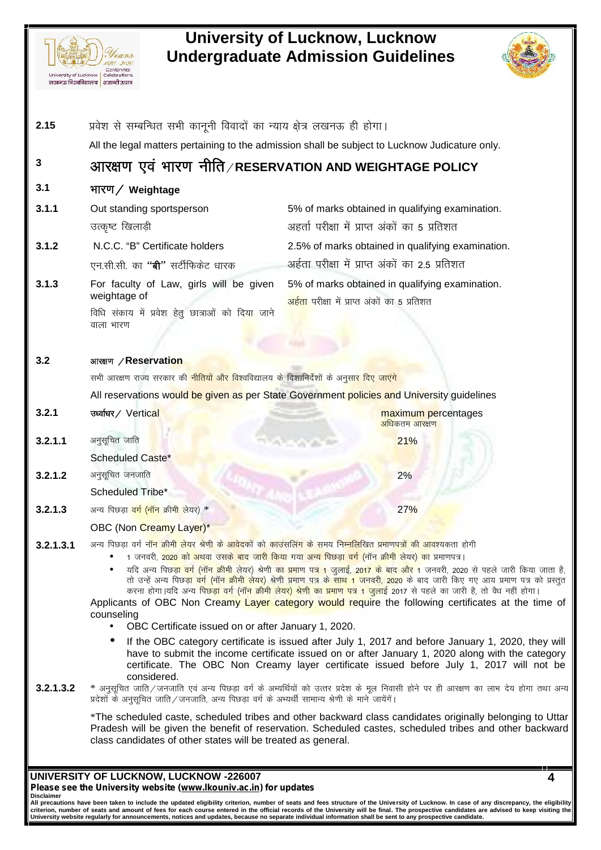

# **University of Lucknow, Lucknow**



| University of Lucknow | Celebrations<br>लखनऊ विश्वविद्यालय   शताब्दी उत्सव                                                                   | <b>Undergraduate Admission Guidelines</b>                                                                                                                                                                                                                                                                                                                                                                                                                                                                                                                                                                                                                                                                                                                                                         |  |
|-----------------------|----------------------------------------------------------------------------------------------------------------------|---------------------------------------------------------------------------------------------------------------------------------------------------------------------------------------------------------------------------------------------------------------------------------------------------------------------------------------------------------------------------------------------------------------------------------------------------------------------------------------------------------------------------------------------------------------------------------------------------------------------------------------------------------------------------------------------------------------------------------------------------------------------------------------------------|--|
| 2.15                  | प्रवेश से सम्बन्धित सभी कानूनी विवादों का न्याय क्षेत्र लखनऊ ही होगा।                                                |                                                                                                                                                                                                                                                                                                                                                                                                                                                                                                                                                                                                                                                                                                                                                                                                   |  |
|                       |                                                                                                                      | All the legal matters pertaining to the admission shall be subject to Lucknow Judicature only.                                                                                                                                                                                                                                                                                                                                                                                                                                                                                                                                                                                                                                                                                                    |  |
| 3                     |                                                                                                                      | आरक्षण एवं भारण नीति/RESERVATION AND WEIGHTAGE POLICY                                                                                                                                                                                                                                                                                                                                                                                                                                                                                                                                                                                                                                                                                                                                             |  |
| 3.1                   | भारण / Weightage                                                                                                     |                                                                                                                                                                                                                                                                                                                                                                                                                                                                                                                                                                                                                                                                                                                                                                                                   |  |
| 3.1.1                 | Out standing sportsperson                                                                                            | 5% of marks obtained in qualifying examination.                                                                                                                                                                                                                                                                                                                                                                                                                                                                                                                                                                                                                                                                                                                                                   |  |
|                       | उत्कृष्ट खिलाड़ी                                                                                                     | अहर्ता परीक्षा में प्राप्त अंकों का 5 प्रतिशत                                                                                                                                                                                                                                                                                                                                                                                                                                                                                                                                                                                                                                                                                                                                                     |  |
| 3.1.2                 | N.C.C. "B" Certificate holders                                                                                       | 2.5% of marks obtained in qualifying examination.                                                                                                                                                                                                                                                                                                                                                                                                                                                                                                                                                                                                                                                                                                                                                 |  |
|                       | एन.सी.सी. का <b>''बी''</b> सर्टीफिकेट धारक                                                                           | अईता परीक्षा में प्राप्त अंकों का 2.5 प्रतिशत                                                                                                                                                                                                                                                                                                                                                                                                                                                                                                                                                                                                                                                                                                                                                     |  |
| 3.1.3                 | For faculty of Law, girls will be given<br>weightage of                                                              | 5% of marks obtained in qualifying examination.<br>अ <mark>र्हता प</mark> रीक्षा में प्राप्त अंकों का 5 प्रतिशत                                                                                                                                                                                                                                                                                                                                                                                                                                                                                                                                                                                                                                                                                   |  |
|                       | विधि संकाय में प्रवेश हेतु छात्राओं को दिया जाने<br>वाला भारण                                                        |                                                                                                                                                                                                                                                                                                                                                                                                                                                                                                                                                                                                                                                                                                                                                                                                   |  |
|                       |                                                                                                                      |                                                                                                                                                                                                                                                                                                                                                                                                                                                                                                                                                                                                                                                                                                                                                                                                   |  |
| 3.2                   | आरक्षण / Reservation                                                                                                 |                                                                                                                                                                                                                                                                                                                                                                                                                                                                                                                                                                                                                                                                                                                                                                                                   |  |
|                       | सभी आरक्षण राज्य सरकार की <mark>नीतियों और विश्</mark> वविद्यालय के दिशानिर्देशों के अनुसा <mark>र दिए जाएंगे</mark> |                                                                                                                                                                                                                                                                                                                                                                                                                                                                                                                                                                                                                                                                                                                                                                                                   |  |
|                       |                                                                                                                      | All reservations would be given as per State Government policies and University guidelines                                                                                                                                                                                                                                                                                                                                                                                                                                                                                                                                                                                                                                                                                                        |  |
| 3.2.1                 | उर्ध्वाधर/ Vertical                                                                                                  | maximum percentages<br>अधिकतम आरक्षण                                                                                                                                                                                                                                                                                                                                                                                                                                                                                                                                                                                                                                                                                                                                                              |  |
| 3.2.1.1               | अनुसूचित जाति                                                                                                        | 21%                                                                                                                                                                                                                                                                                                                                                                                                                                                                                                                                                                                                                                                                                                                                                                                               |  |
|                       | Scheduled Caste*                                                                                                     |                                                                                                                                                                                                                                                                                                                                                                                                                                                                                                                                                                                                                                                                                                                                                                                                   |  |
| 3.2.1.2               | अनुसूचित जनजाति                                                                                                      | 2%                                                                                                                                                                                                                                                                                                                                                                                                                                                                                                                                                                                                                                                                                                                                                                                                |  |
|                       | Scheduled Tribe*                                                                                                     |                                                                                                                                                                                                                                                                                                                                                                                                                                                                                                                                                                                                                                                                                                                                                                                                   |  |
| 3.2.1.3               | अन्य पिछड़ <mark>ा वर्ग (नॉन क्रीमी लेयर)</mark> *                                                                   | 27%                                                                                                                                                                                                                                                                                                                                                                                                                                                                                                                                                                                                                                                                                                                                                                                               |  |
|                       | OBC (Non Creamy Layer)*                                                                                              |                                                                                                                                                                                                                                                                                                                                                                                                                                                                                                                                                                                                                                                                                                                                                                                                   |  |
| 3.2.1.3.1             | counseling<br>OBC Certificate issued on or after January 1, 2020.<br>$\bullet$                                       | अन्य पिछडा वर्ग नॉन क्रीमी लेयर श्रेणी के आवेदकों को काउंसलिंग के समय निम्नलिखित प्रमाणपत्रों की आवश्यकता होगी<br>1 जनवरी, 2020 को अथवा उसके बाद जारी किया गया अन्य पिछडा वर्ग (नॉन क्रीमी लेयर) का प्रमाणपत्र।<br>यदि अन्य पिछड़ <mark>ा वर्ग (नॉन क्रीमी</mark> लेयर) श्रेणी <mark>का प्रमा</mark> ण पत् <mark>र 1 जुलाई, 2017 के बाद और 1</mark> जनवरी, 2020 से पहले जारी किया जाता है,<br>तो उन्हें अन्य पिछड़ <mark>ा वर्ग (नॉन क्रीमी लेयर) श्रेणी प्रमाण पत्र के साथ 1 जनवरी, 2020 के बाद जारी किए गए आय प्रमाण पत्र को प्रस्तुत</mark><br>करना होगा।यदि अन्य पिछड़ <mark>ा वर्ग (नॉन क्रीमी लेयर) श्रेणी का प्रमाण पत्र 1 जुलाई 201</mark> 7 से पहले का जारी है, तो वैध नहीं होगा।<br>Applicants of OBC Non Creamy Layer category would require the following certificates at the time of |  |
|                       | considered.                                                                                                          | If the OBC category certificate is issued after July 1, 2017 and before January 1, 2020, they will<br>have to submit the income certificate issued on or after January 1, 2020 along with the category<br>certificate. The OBC Non Creamy layer certificate issued before July 1, 2017 will not be                                                                                                                                                                                                                                                                                                                                                                                                                                                                                                |  |
| 3.2.1.3.2             | प्रदेशों के अनुसूचित जाति / जनजाति, अन्य पिछड़ा वर्ग के अभ्यर्थी सामान्य श्रेणी के माने जायेंगें।                    | * अनुसूचित जाति/जनजाति एवं अन्य पिछड़ा वर्ग के अभ्यर्थियों को उत्तर प्रदेश के मूल निवासी होने पर ही आरक्षण का लाभ देय होगा तथा अन्य                                                                                                                                                                                                                                                                                                                                                                                                                                                                                                                                                                                                                                                               |  |
|                       |                                                                                                                      | *The scheduled caste, scheduled tribes and other backward class candidates originally belonging to Uttar                                                                                                                                                                                                                                                                                                                                                                                                                                                                                                                                                                                                                                                                                          |  |

All precautions have been taken to include the updated eligibility criterion, number of seats and fees structure of the University of Lucknow. In case of any discrepancy, the eligibility|<br>criterion, number of seats and amo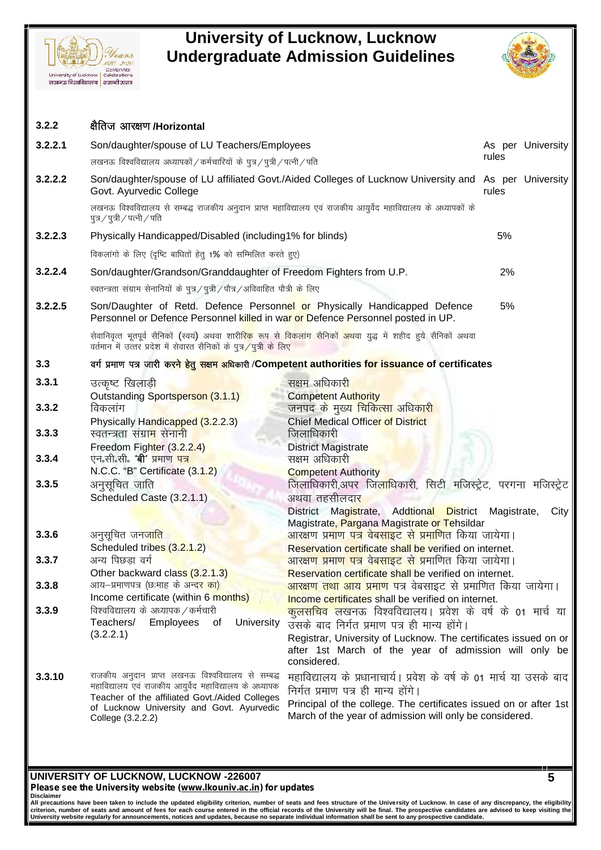



| 3.2.2   |                                                                                                                                                                 |                                                                                                                                             |       |                   |
|---------|-----------------------------------------------------------------------------------------------------------------------------------------------------------------|---------------------------------------------------------------------------------------------------------------------------------------------|-------|-------------------|
|         | क्षैतिज आरक्षण/Horizontal                                                                                                                                       |                                                                                                                                             |       |                   |
| 3.2.2.1 | Son/daughter/spouse of LU Teachers/Employees                                                                                                                    |                                                                                                                                             |       | As per University |
|         | लखनऊ विश्वविद्यालय अध्यापकों / कर्मचारियों के पुत्र / पुत्री / पत्नी / पति                                                                                      |                                                                                                                                             | rules |                   |
| 3.2.2.2 | Govt. Ayurvedic College                                                                                                                                         | Son/daughter/spouse of LU affiliated Govt./Aided Colleges of Lucknow University and As per University                                       | rules |                   |
|         | पुत्र / पुत्री / पत्नी / पति                                                                                                                                    | लखनऊ विश्वविद्यालय से सम्बद्ध राजकीय अनुदान प्राप्त महाविद्यालय एवं राजकीय आयुर्वेद महाविद्यालय के अध्यापकों के                             |       |                   |
| 3.2.2.3 | Physically Handicapped/Disabled (including1% for blinds)                                                                                                        |                                                                                                                                             | 5%    |                   |
|         | विकलांगो के लिए (दृष्टि बाधितों हेतु 1% को सम्मिलित करते हुए)                                                                                                   |                                                                                                                                             |       |                   |
| 3.2.2.4 | Son/daughter/Grandson/Granddaughter of Freedom Fighters from U.P.                                                                                               |                                                                                                                                             | 2%    |                   |
|         | स्वतन्त्रता संग्राम सेनानियों के पुत्र / पुत्री / पौत्र / अविवाहित पौत्री के लिए                                                                                |                                                                                                                                             |       |                   |
| 3.2.2.5 | Son/Daughter of Retd. Defence Personnel or Physically Handicapped Defence<br>Personnel or Defence Personnel killed in war or Defence Personnel posted in UP.    |                                                                                                                                             | 5%    |                   |
|         | वर्तमान में उत्तर प्रदेश में सेवारत सैनिकों के पुत्र/पुत्री के लिए                                                                                              | सेवानिवृत्त भूतपूर्व सैनिकों (स्वयं) अथवा शारी <mark>रिक</mark> रूप से विकलांग सैनिको <mark>ं अथ</mark> वा युद्ध में शहीद हुये सैनिकों अथवा |       |                   |
| 3.3     |                                                                                                                                                                 | वर्ग प्रमाण पत्र जारी करने हेतु सक्षम अधिकारी /Competent authorities for issuance of certificates                                           |       |                   |
| 3.3.1   | उत्कृष्ट खिलाड़ी                                                                                                                                                | सक्षम अधिकार <mark>ी</mark>                                                                                                                 |       |                   |
| 3.3.2   | Outstanding Sportsperson (3.1.1)<br>विकलांग<br>Physically Handicapped (3.2.2.3)                                                                                 | <b>Competent Authority</b><br>जनपद क <mark>े मुख्य चिकित्सा अधिकारी</mark><br><b>Chief Medical Officer of District</b>                      |       |                   |
| 3.3.3   | स्वतन्त्रता संग्रा <mark>म</mark> सेनानी                                                                                                                        | जिलाधिकारी                                                                                                                                  |       |                   |
| 3.3.4   | Freedom Fighter (3.2.2.4)<br>एन सी सी की प्रमाण <mark>पत्र</mark>                                                                                               | <b>District Magistrate</b><br>सक्षम अधिकारी                                                                                                 |       |                   |
|         | N.C.C. "B" Certificate (3.1.2)                                                                                                                                  | <b>Competent Authority</b>                                                                                                                  |       |                   |
| 3.3.5   | अनुसूचित जाति<br>Scheduled Caste (3.2.1.1)                                                                                                                      | जिलाधिकारी,अपर जि <mark>ला</mark> धिकारी, सिटी मजिस्ट्रेट, परगना मजिस्ट्रेट<br>अथवा तहसीलदा <mark>र</mark>                                  |       |                   |
|         |                                                                                                                                                                 | District Magistrate, Addtional District Magistrate,<br>Magistrate, Pargana Magistrate or Tehsildar                                          |       | City              |
| 3.3.6   | अनुसूचित जन <mark>जात</mark> ि                                                                                                                                  | <u>आरक्षण प्रमाण पत्र वेबसाइट से प्रमाणित किया जायेगा।</u>                                                                                  |       |                   |
|         | Scheduled tribes (3.2.1.2)                                                                                                                                      | Reservation certificate shall be verified on internet.                                                                                      |       |                   |
| 3.3.7   | अन्य पिछडा वर्ग                                                                                                                                                 | आरक्षण प्रमाण पत्र वेबसाइट से प्रमाणित किया जायेगा।                                                                                         |       |                   |
|         | Other backward class (3.2.1.3)                                                                                                                                  | Reservation certificate shall be verified on internet.                                                                                      |       |                   |
| 3.3.8   | आय-प्रमाणपत्र (छःमाह के अन्दर का)<br>Income certificate (within 6 months)                                                                                       | <mark>आरक्षण तथा आय प्रमाण प</mark> त्र वेबसाइट से प्रमाणित किया जायेगा।                                                                    |       |                   |
| 3.3.9   | विश्वविद्यालय के अध्यापक / कर्मचारी                                                                                                                             | Income certificates shall be verified on internet.<br><mark>कूलसचिव लखन</mark> ऊ विश्वविद्यालय। प्रवेश के वर्ष के 01 मार्च या               |       |                   |
|         | Teachers/<br><b>Employees</b><br>University<br>0t                                                                                                               | उसके बाद निर्गत प्रमाण पत्र ही मान्य होंगे।                                                                                                 |       |                   |
|         | (3.2.2.1)                                                                                                                                                       | Registrar, University of Lucknow. The certificates issued on or<br>after 1st March of the year of admission will only be<br>considered.     |       |                   |
| 3.3.10  | राजकीय अनुदान प्राप्त लखनऊ विश्वविद्यालय से सम्बद्ध<br>महाविद्यालय एवं राजकीय आयुर्वेद महाविद्यालय के अध्यापक<br>Teacher of the affiliated Govt./Aided Colleges | महाविद्यालय के प्रधानाचार्य। प्रवेश के वर्ष के 01 मार्च या उसके बाद<br>निर्गत प्रमाण पत्र ही मान्य होंगे।                                   |       |                   |
|         | of Lucknow University and Govt. Ayurvedic<br>College (3.2.2.2)                                                                                                  | Principal of the college. The certificates issued on or after 1st<br>March of the year of admission will only be considered.                |       |                   |

### **UNIVERSITY OF LUCKNOW, LUCKNOW -226007** *Please see the University website (www.lkouniv.ac.in) for updates*

**Disclaimer** All precautions have been taken to include the updated eligibility criterion, number of seats and fees structure of the University of Lucknow. In case of any discrepancy, the eligibility|<br>criterion, number of seats and amo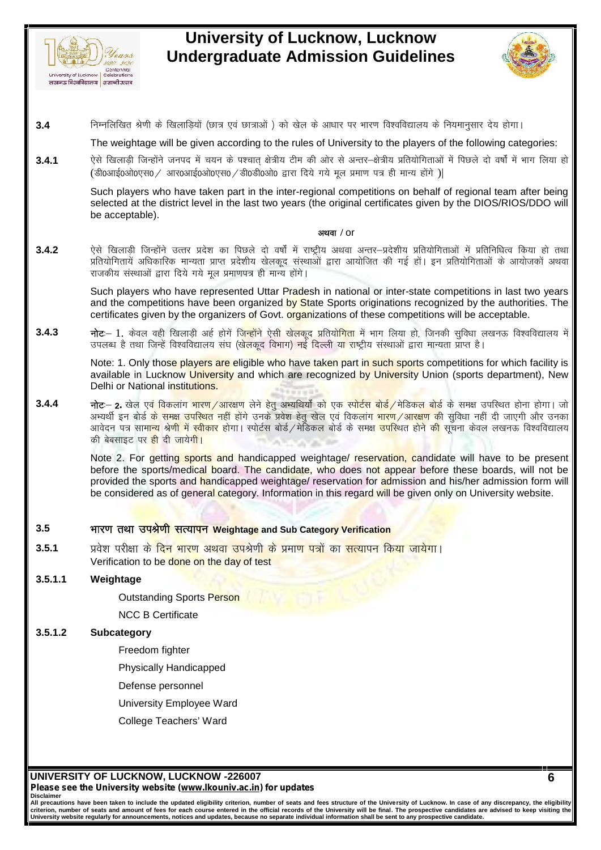



**3.4** functional particular of the second of the system of the system of the second of the state of the system of the state of the state of the following categories:<br>3.4 functional particular state of the symphony of the s

The weightage will be given according to the rules of University to the players of the following categories:

**3.4.1** ,sls f[kykM+h ftUgksaus tuin es a p;u d s i'pkr~ {k s=h; Vhe dh vk sj ls vUrj&{k s=h; çfr;k sfxrkvk sa esa fiNys nk s o"kk sZa e sa Hkkx fy;k gk s निम्नलिखित श्रेणी के खिलाड़ियों (छात्र एवं छात्राओं ) को खेल के आधार पर भारण विश्वविद्यालय के नियमानुसार देय होगा।<br>The weightage will be given according to the rules of University to the players of the following categorie

Such players who have taken part in the inter-regional competitions on behalf of regional team after being selected at the district level in the last two years (the original certificates given by the DIOS/RIOS/DDO will be acceptable). **Such players who have taken part in the inter-regional competitions on behalf of regional team after being<br>selected at the district level in the last two years (the original certificates given by the DIOS/RIOS/DDO will<br>b** 

### **vFkok /** or

selected at the district level in the last two years (the original certificates given by the DIOS/RIOS/DDO will<br>be acceptable).<br>ऐसे खिलाड़ी जिन्होंने उत्तर प्रदेश का पिछले दो वर्षों में राष्ट्रीय अथवा अन्तर—प्रदेशीय प्रति राजकीय संस्थाओं द्वारा दिये गये मूल प्रमाणपत्र ही मान्य होंगे।

Such players who have represented Uttar Pradesh in national or inter-state competitions in last two years and the competitions have been organized by State Sports originations recognized by the authorities. The certificates given by the organizers of Govt. organizations of these competitions will be acceptable. राजकीय संस्थाओं द्वारा दिये गये मूल प्रमाणपत्र ही मान्य होंगे।<br>Such players who have represented Uttar Pradesh in national or inter-state competitions in last two years<br>and the competitions have been organized by State Sp Such players who have represented Uttar Pradesh in national or inter-state competitions in las<br>and the competitions have been organized by State Sports originations recognized by the auth<br>certificates given by the organiz

Note: 1. Only those players are eligible who have taken part in such sports competitions for which facility is available in Lucknow University and which are recognized by University Union (sports department), New Delhi or National institutions.

उपलब्ध है तथा जिन्हें विश्वविद्यालय संघ (खे<mark>लकूद विभाग) नई दिल्ली या राष्ट्रीय संस्थाओं द्वारा मान्यता प्राप्त है।<br>
Note: 1. Only tho<mark>se players are eligible who have taken part in such sports competitions for which facil</mark></mark> Note: 1. Only tho<mark>se players are eligible who have taken part in such sports competitions for which facility is<br>available in Lucknow University and which are recognized by University Union (sports department), New<br>Delhi o</mark> Note: 1. Only those players are eligible who have taken part in such sports competitions for which facility is<br>available in Lucknow University and which are recognized by University Union (sports department), New<br>Delhi or की बेबसाइट पर <mark>ही</mark> दी जायेगी।

Note 2. For getting sports and handicapped weightage/ reservation, candidate will have to be present before the sports/medical board. The candidate, who does not appear before these boards, will not be provided the sports and handicapped weightage/ reservation for admission and his/her admission form will be considered as of general category. Information in this regard will be given only on University website. Abote 2. For getting sports and handicapped weightage/ reservation, candidate before the sports/medical board. The candidate, who does not appear be provided the sports and handicapped weightage/ reservation for admission before the sports/medical board. The candidate, who does not applear before these<br>provided the sports and handicapped weightage/ reservation for admission and his/her<br>be considered as of general category. Information in t

Verification to be done on the day of test

### **3.5.1.1 Weightage**

Outstanding Sports Person

NCC B Certificate

### **3.5.1.2 Subcategory**

- Freedom fighter
- Physically Handicapped
- Defense personnel
- University Employee Ward
- College Teachers' Ward

**UNIVERSITY OF LUCKNOW, LUCKNOW -226007** *Please see the University website (www.lkouniv.ac.in) for updates* **Disclaimer**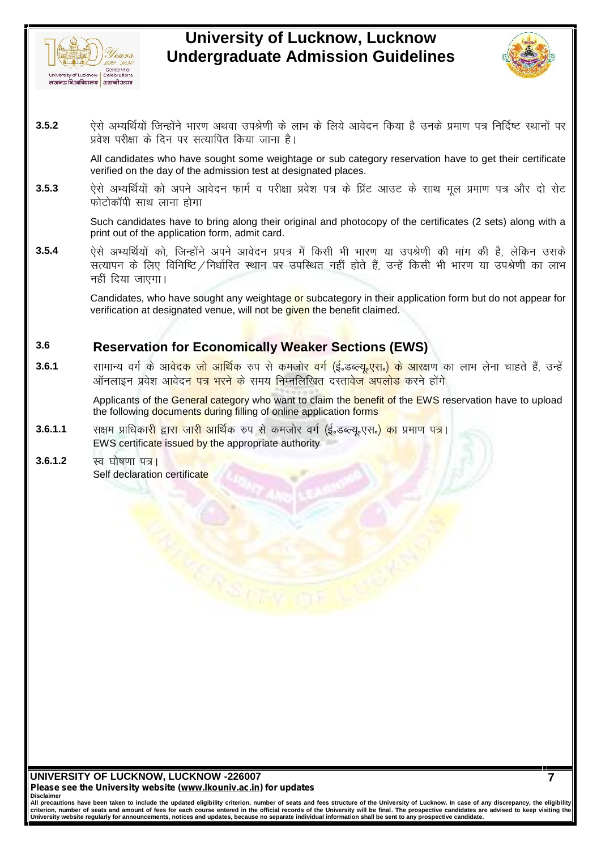



**3.5.2** , which discussed the slot of the slot of the slot of the slot of the slot of the slot of the slot of the slot of the slot of the slot of the slot of the slot of the slot of the slot of the slot of the slot of the प्रवेश परीक्षा के दिन पर सत्यापित किया जाना है। र रिसे अभ्यर्थियों जिन्होंने भारण अथवा उपश्रेणी के लाभ के लिये आवेदन किया है उनके प्रमाण पत्र निर्दिष्ट स्थानों पर<br>प्रवेश परीक्षा के दिन पर सत्यापित किया जाना है।<br>All candidates who have sought some weightage or sub categ

All candidates who have sought some weightage or sub category reservation have to get their certificate verified on the day of the admission test at designated places.

फोटोकॉपी साथ लाना होगा

Such candidates have to bring along their original and photocopy of the certificates (2 sets) along with a print out of the application form, admit card.

refined on the day of the damisosit test at designated places.<br>
2.5.3 ऐसे अभ्यर्थियों को अपने आवेदन फार्म व परीक्षा प्रवेश पत्र के प्रिंट आउट के साथ मूल प्रमाण पत्र और दो सेट<br>
which will mean form about the application fo ऐसे अभ्यर्थियों को अपने आवेदन फार्म व परीक्षा प्रवेश पत्र के प्रिंट आउट के साथ मूल प्रमाण पत्र और दो सेट<br>फोटोकॉपी साथ लाना होगा<br>Such candidates have to bring along their original and photocopy of the certificates (2 sets) नहीं दिया जाएगा।

Candidates, who have sought any weightage or subcategory in their application form but do not appear for verification at designated venue, will not be given the benefit claimed.

# **3.6 Reservation for Economically Weaker Sections (EWS)**

**3.6.1** lkekU; oxZ ds vko snd tks vkfFkZd #i l s detksj oxZ ¼bZñMCY;wñ,lñ½ ds vkj{k.k dk ykHk ysuk pkgr s gS a] mUg sa 'सामान्य वर्ग के आ<mark>वेदक जो आर्थिक रुप से कमजोर वर्ग (ई.</mark>डब्ल्<mark>यू.एस.) के आर</mark>क्षण का लाभ लेना चाहते हैं, उन्हें<br>ऑनलाइन प्रवेश आवेदन <mark>पत्र भरने के</mark> समय निम्नलिखित दस्तावेज अपलोड करने होंगे **3.6.1.1** l{ke çkf/kdkjh }kjk tkjh vkfFkZd #i l s detksj oxZ ¼bZñMCY;wñ,lñ½ dk çek.k i=A

Applicants of the General category who want to claim the benefit of the EWS reservation have to upload the following documents during filling of online application forms

- EWS certificate issued by the appropriate authority
- **3.6.1.2** स्व घोषणा पत्र। Self declaration certificate

**UNIVERSITY OF LUCKNOW, LUCKNOW -226007** *Please see the University website (www.lkouniv.ac.in) for updates* **Disclaimer**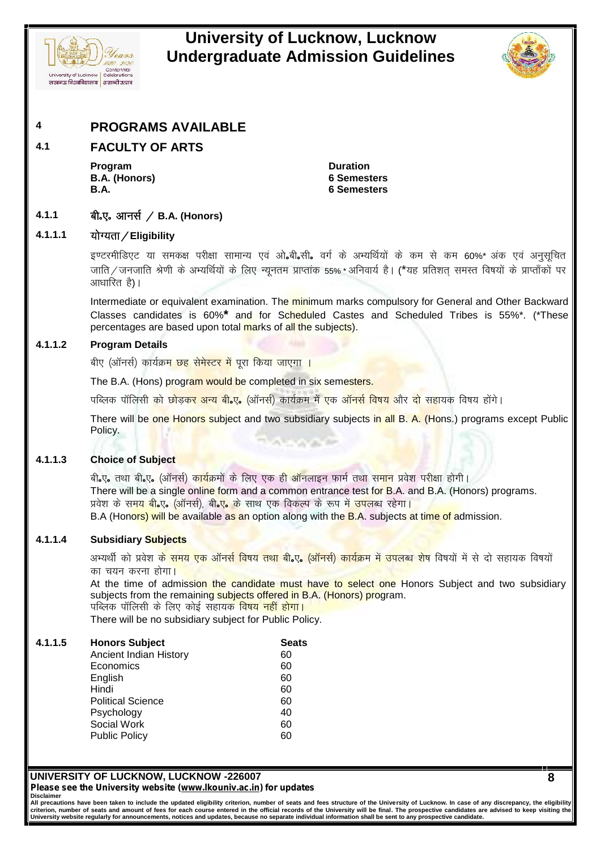



# **4 PROGRAMS AVAILABLE**

# **4.1 FACULTY OF ARTS**

**Program Duration B.A. (Honors) 6 Semesters B.A. 6 Semesters**

# **4.1.1 Ckhñ,ñ vkul Z @ B.A. (Honors) 4.1.1.1 ;k sX;rk@Eligibility**

b.VjehfM,V ;k led{k ijh{kk lkekU; ,o a v®**<sup>ñ</sup>**ch**ñ**lh**<sup>ñ</sup>** oxZ d s vH;fFkZ;k sa d s de ls de 60%\* v ad ,oa vuql wfpr **बी.ए. आनर्स / B.A. (Honors)**<br>योग्यता**/Eligibility**<br>इण्टरमीडिएट या समकक्ष परीक्षा सामान्य एवं ओ.बी.सी. वर्ग के अभ्यर्थियों के कम से कम 60%\* अंक एवं अनुसूचित<br>जाति/जनजाति श्रेणी के अभ्यर्थियों के लिए न्यूनतम प्राप्तांक 55% आधारित है)।

Intermediate or equivalent examination. The minimum marks compulsory for General and Other Backward Classes candidates is 60%**\*** and for Scheduled Castes and Scheduled Tribes is 55%\*. (\*These percentages are based upon total marks of all the subjects). Intermediate or equivalent examination. The minimum marks compu<br>Classes candidates is 60%<sup>\*</sup> and for Scheduled Castes and<br>percentages are based upon total <mark>ma</mark>rks of all the subjects).<br>Program Details<br>बीए (ऑनर्स) कार्यक्र

# **4.1.1.2 Program Details**

percentages are based upon total marks of all the subjects).<br>Program Details<br>बीए (ऑनर्स) कार्यक्र<mark>म छह सेमेस्टर में पूरा किया जाएगा ।</mark><br>पब्लिक पॉलिसी को छोड़कर अन्य बी.ए. (ऑनर्स) कार्यक्रम में एक ऑनर्स विषय और दो सहायक विष There will be one Honors subject and two subsidiary subjects in all B. A. (Hons.) programs except Public Policy.

### **4.1.1.3 Choice of Subject**

chick ching the property of the subject and two subsidiary subjects in all B. A. (Hons.) programs<br>Policy.<br>**Choice of Subject**<br>There will be a single online form and a common entrance test for B.A. and B.A. (Honors) pro<br>val There will be a single online form and a common entrance test for B.A. and B.A. (Honors) programs. Policy.<br>Choice of Subject<br>बी.ए. तथा बी.ए. (ऑनर्स) कार्यक्रमों के लिए एक ही ऑनलाइन फार्म तथा समान प्रवेश परीक्षा होगी।<br>प्रवेश के समय बी.ए. (ऑनर्स), बी.ए. के साथ एक विकल्प के रूप में उपलब्ध रहेगा।<br>B.A (Honors) will be avail B.A (Honors) will be available as an option along with the B.A. subjects at time of admission. There will be a single online form and a common entrance test for B.A. and B.A. (Honors) programs.<br>प्रवेश के समय बी.ए. (ऑनर्स), बी.ए. के साथ एक विकल्प के रूप में उपलब्ध रहेगा।<br>B.A (Hono<mark>rs) will be available as an</mark> option

### **4.1.1.4 Subsidiary Subjects**

प्रवेश के समय बी.ए. (ऑनर्स), बी.ए. के साथ<br>B.A (Honors) will be available as an op<br>Subsidiary Subjects<br>अभ्यर्थी को प्रवेश क<mark>े समय एक ऑनर्स विषय</mark><br>का चयन करना होगा।<br>At the time of admission the candid:<br>subiects from the rema

At the time of admission the candidate must have to select one Honors Subject and two subsidiary subjects from the remaining subjects offered in B.A. (Honors) program. Subsidiary Subjects<br>अभ्यर्थी को प्रवेश क<mark>े समय एक ऑनर्स विषय तथा बी.ए. (ऑन</mark>र्स)<br>का चयन करना होगा।<br>At the time of admission the candidate must have to<br>subjects from the remaining subjects offered in B.A. (Ho<br>पब्लिक पॉलिसी

There will be no subsidiary subject for Public Policy.

| 4.1.1.5 | <b>Honors Subject</b>         | <b>Seats</b> |
|---------|-------------------------------|--------------|
|         | <b>Ancient Indian History</b> | 60           |
|         | Economics                     | 60           |
|         | English                       | 60           |
|         | Hindi                         | 60           |
|         | <b>Political Science</b>      | 60           |
|         | Psychology                    | 40           |
|         | Social Work                   | 60           |
|         | <b>Public Policy</b>          | 60           |
|         |                               |              |

**UNIVERSITY OF LUCKNOW, LUCKNOW -226007** *Please see the University website (www.lkouniv.ac.in) for updates* **Disclaimer**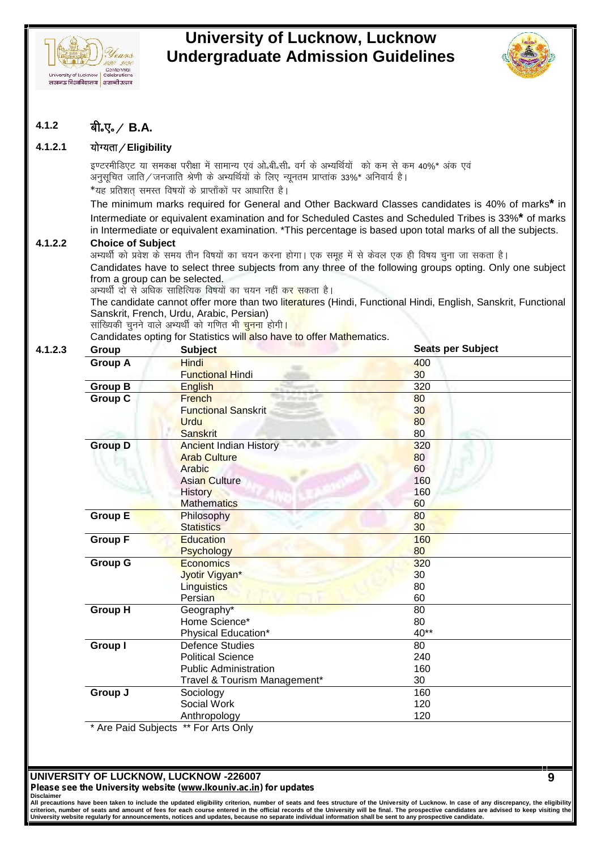



**9**

# $4.1.2$  **बी.**ए. / **B.A.**

<sub><sub>ाजालखन्ना</sub> अत्राटकालय | टक्काटवालाक<br>| लखनऊ विध्वविद्यालय | शताब्दी उत्सव<br>| 4.1.2.1 योग्यता / Eligibility<br>| इण्टरमीडिएट या समकक्ष परीक्षा में</sub> **योग्यता / Eligibility**<br>इण्टरमीडिएट या समकक्ष परीक्षा में सामान्य एवं ओ.बी.सी. वर्ग के अभ्यर्थियों को कम से कम 40%\* अंक एवं<br>अनुसूचित जाति / जनजाति श्रेणी के अभ्यर्थियों के लिए न्यूनतम प्राप्तांक 33%\* अनिवार्य है।<br>\*यह प्रत **बी॰ए॰ / B.A.<br>योग्यता / Eligibility**<br>इण्टरमीडिएट या समकक्ष परीक्षा में सामान्य एवं ओ॰बी॰सी॰ वर्ग के अभ्यर्थियों को कम से कम 40%\* अंक एवं<br>अनुसूचित जाति / जनजाति श्रेणी के अभ्यर्थियों के लिए न्यूनतम प्राप्तांक 33%\* अनिवार्

Intermediate or equivalent examination and for Scheduled Castes and Scheduled Tribes is 33%**\*** of marks \*यह प्रतिशत् समस्त विषयो के प्राप्ताको पर आधारित है |<br>The minimum marks required for General and Other Backward Classes candidates is 40% of mar<br>Intermediate or equivalent examination and for Scheduled Castes and Schedule

in Intermediate or equivalent examination. \*This percentage is based upon total marks of all the subjects.<br>Choice of Subject<br>अभ्यर्थी को प्रवेश के समय तीन विषयों का चयन करना होगा। एक समूह में से केवल एक ही विषय चुना जा सक **4.1.2.2 Choice of Subject** Candidates have to select three subjects from any three of the following groups opting. Only one subject from a group can be selected.

अभ्यर्थी दो से अधिक साहित्यिक विषयों का चयन नहीं कर सकता है।

The candidate cannot offer more than two literatures (Hindi, Functional Hindi, English, Sanskrit, Functional Sanskrit, French, Urdu, Arabic, Persian)<br>सांख्यिकी चुनने वाले अभ्यर्थी को गणित भी <mark>चुन</mark>ना होगी।

Candidates opting for Statistics will also have to offer Mathematics.

| Group          | <b>Subject</b>                | Seats per Subject |
|----------------|-------------------------------|-------------------|
| <b>Group A</b> | <b>Hindi</b>                  | 400               |
|                | <b>Functional Hindi</b>       | 30                |
| <b>Group B</b> | <b>English</b>                | 320               |
| <b>Group C</b> | French                        | 80                |
|                | <b>Functional Sanskrit</b>    | 30                |
|                | <b>Urdu</b>                   | 80                |
|                | <b>Sanskrit</b>               | 80                |
| <b>Group D</b> | <b>Ancient Indian History</b> | 320               |
|                | <b>Arab Culture</b>           | 80                |
|                | Arabic                        | 60                |
|                | <b>Asian Culture</b>          | 160               |
|                | <b>History</b>                | 160               |
|                | <b>Mathematics</b>            | 60                |
| <b>Group E</b> | Philosophy                    | 80                |
|                | <b>Statistics</b>             | 30                |
| <b>Group F</b> | <b>Education</b>              | 160               |
|                | <b>Psychology</b>             | 80                |
| <b>Group G</b> | Economics                     | 320               |
|                | Jyotir Vigyan*                | 30                |
|                | <b>Linguistics</b>            | 80                |
|                | Persian                       | 60                |
| <b>Group H</b> | Geography*                    | 80                |
|                | Home Science*                 | 80                |
|                | Physical Education*           | 40**              |
| <b>Group I</b> | <b>Defence Studies</b>        | 80                |
|                | <b>Political Science</b>      | 240               |
|                | <b>Public Administration</b>  | 160               |
|                | Travel & Tourism Management*  | 30                |
| Group J        | Sociology                     | 160               |
|                | Social Work                   | 120               |
|                | Anthropology                  | 120               |

\* Are Paid Subjects \*\* For Arts Only

# **UNIVERSITY OF LUCKNOW, LUCKNOW -226007**

*Please see the University website (www.lkouniv.ac.in) for updates* **Disclaimer**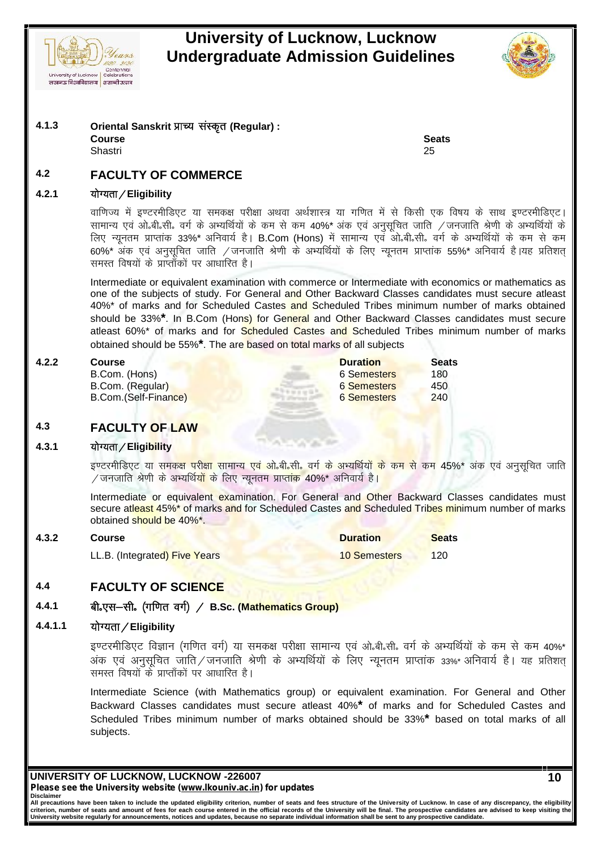



**Course Seats** Shastri 25

# **4.2 FACULTY OF COMMERCE 4.2.1 ;k sX;rk@Eligibility**

**Course Seats**<br>Shastri 25<br>**FACULTY OF COMMERCE**<br>योग्यता / Eligibility<br>वाणिज्य में इण्टरमीडिएट या समकक्ष परीक्षा अथवा अर्थशास्त्र या गणित में से किसी एक विषय के साथ इण्टरमीडिएट।<br>सामान्य एवं ओ.बी.सी. वर्ग के अभ्यर्थियों के Shasth<br>RACULTY OF COMMERCE<br>योग्यता / Eligibility<br>बाणिज्य में इण्टरमीडिएट या समकक्ष परीक्षा अथवा अर्थशास्त्र या गणित में से किसी एक विषय के साथ इण्टरमीडिएट।<br>सामान्य एवं ओ.बी.सी. वर्ग के अभ्यर्थियों के कम से कम 40%\* अंक एवं **FACULTY OF COMMERCE**<br>योग्यता ⁄ Eligibility<br>वाणिज्य में इण्टरमीडिएट या समकक्ष परीक्षा अथवा अर्थशास्त्र या गणित में से किसी एक विषय के साथ इण्टरमीडिएट।<br>सामान्य एवं ओ.बी.सी. वर्ग के अभ्यर्थियों के कम से कम 40%\* अंक एवं अनुस <sup>60</sup>%\* v ad ,oa vuql wfpr tkfr @tutkfr J s.kh ds vH;fFk Z;k sa d s fy, U;wure çkIrk ad <sup>55</sup>%\* vfuok;Z g SA;g çfr"kr~ 60%\* अंक एवं अनुसूचित जाति ⁄जनजाति श्रेणी के अभ्यर्थियों के लिए न्यूनतम प्राप्तांक 55%\* अनिवार्य है।यह प्रतिशत्<br>समस्त विषयों के प्राप्ताँकों पर आधारित है।

Intermediate or equivalent examination with commerce or Intermediate with economics or mathematics as one of the subjects of study. For General and Other Backward Classes candidates must secure atleast 40%\* of marks and for Scheduled Castes and Scheduled Tribes minimum number of marks obtained should be 33%**\***. In B.Com (Hons) for General and Other Backward Classes candidates must secure atleast 60%\* of marks and for Scheduled Castes and Scheduled Tribes minimum number of marks obtained should be 55%**\***. The are based on total marks of all subjects

B.Com. (Hons) B.Com. (Regular) B.Com.(Self-Finance) **4.3.1 ;k sX;rk@Eligibility**

| 4.2.2 | Course               | <b>Duration</b>    | <b>Seats</b> |  |
|-------|----------------------|--------------------|--------------|--|
|       | B.Com. (Hons)        | 6 Semesters        | 180          |  |
|       | B.Com. (Regular)     | 6 Semesters        | 450          |  |
|       | B.Com.(Self-Finance) | <b>6 Semesters</b> | 240          |  |

# **4.3 FACULTY OF LAW**

B.Com.(Self-Finance)<br>
EACULTY OF LAW<br>योग्यता / Eligibility<br>इण्टरमीडिएट या समकक्ष परीक्षा सामान्य एवं ओ.बी.सी. वर्ग के अभ्यर्थियों के कम से कम 45%\* अंक एवं अनुसूचित जाति<br>/ जनजाति श्रेणी के अभ्यर्थियों के लिए न्यूनतम प्राप् Mate of the Control of Team<br>योग्यता / Eligibility<br>इण्टरमीडिएट या समकक्ष परीक्षा सामान्य एवं ओ,बी,सी, वर्ग के अभ्यर्थियों के कम र<br>/ जनजाति श्रेणी के अभ्यर्थियों के लिए न्यूनतम प्राप्तांक 40%\* अनिवार्य है।<br>Intermediate or e

Intermediate or equivalent examination. For General and Other Backward Classes candidates must secure atleast 45%\* of marks and for Scheduled Castes and Scheduled Tribes minimum number of marks obtained should be 40%\*.

| 4.3.2   | Course                                                                                                                                | <b>Duration</b>     | <b>Seats</b> |  |
|---------|---------------------------------------------------------------------------------------------------------------------------------------|---------------------|--------------|--|
|         | LL.B. (Integrated) Five Years                                                                                                         | <b>10 Semesters</b> | 120          |  |
|         |                                                                                                                                       |                     |              |  |
| 4.4     | <b>FACULTY OF SCIENCE</b>                                                                                                             |                     |              |  |
| 4.4.1   | बी.एस-सी. (गणित वर्ग) / B.Sc. (Mathematics Group)                                                                                     |                     |              |  |
| 4.4.1.1 | योग्यता / Eligibility                                                                                                                 |                     |              |  |
|         | इण्टरमीडिएट विज्ञान (गणित वर्ग) या समकक्ष परीक्षा सामान्य एवं ओ.बी.सी. वर्ग के अभ्यर्थियों के क<br>$\sim$ $\sim$ $\sim$ $\sim$ $\sim$ |                     |              |  |

# **4.4 FACULTY OF SCIENCE**

## 4.4.1 बी.एस-सी. (गणित वर्ग) / B.Sc. (Mathematics Group)

 $\begin{array}{l|l|l} \multicolumn{1}{l}{{\small{\textbf{FACULTY OF SCIENTC}}}} \multicolumn{1}{l}{\small{\textbf{FACULTY OF SCIENTC}}}} \multicolumn{1}{l}{\small{\textbf{A}}}{\small{\textbf{I}}}{\small{\textbf{I}}}{\small{\textbf{I}}}{\small{\textbf{I}}}{\small{\textbf{I}}}{\small{\textbf{I}}}{\small{\textbf{I}}}{\small{\textbf{I}}}{\small{\textbf{I}}}{\small{\textbf{I}}}{\small{\textbf{I}}}{\small{\textbf{I}}}{\small{\textbf{I}}}{\small{\textbf{I}}}{\small{\textbf{I}}}{\small{\text$  $\bf{FACULTY OF SCIENCE}$  ,  $\bf{C}$  and  $\bf{C}$  and  $\bf{C}$  and  $\bf{C}$  and  $\bf{C}$  and  $\bf{C}$  and  $\bf{C}$  and  $\bf{C}$  and  $\bf{C}$  and  $\bf{C}$  and  $\bf{C}$  and  $\bf{C}$  and  $\bf{C}$  and  $\bf{C}$  and  $\bf{C}$  and  $\bf{C}$  and  $\bf{C}$  and **बी.एस—सी. (गणित वर्ग) / B.Sc. (Mathematics Group)**<br>योग्यता **/ Eligibility**<br>इण्टरमीडिएट विज्ञान (गणित वर्ग) या समकक्ष परीक्षा सामान्य प<br>अंक एवं अनुसूचित जाति / जनजाति श्रेणी के अभ्यर्थियों के ।<br>समस्त विषयों के प्राप्ताँको

Intermediate Science (with Mathematics group) or equivalent examination. For General and Other Backward Classes candidates must secure atleast 40%**\*** of marks and for Scheduled Castes and Scheduled Tribes minimum number of marks obtained should be 33%**\*** based on total marks of all subjects.

**UNIVERSITY OF LUCKNOW, LUCKNOW -226007** *Please see the University website (www.lkouniv.ac.in) for updates* **Disclaimer**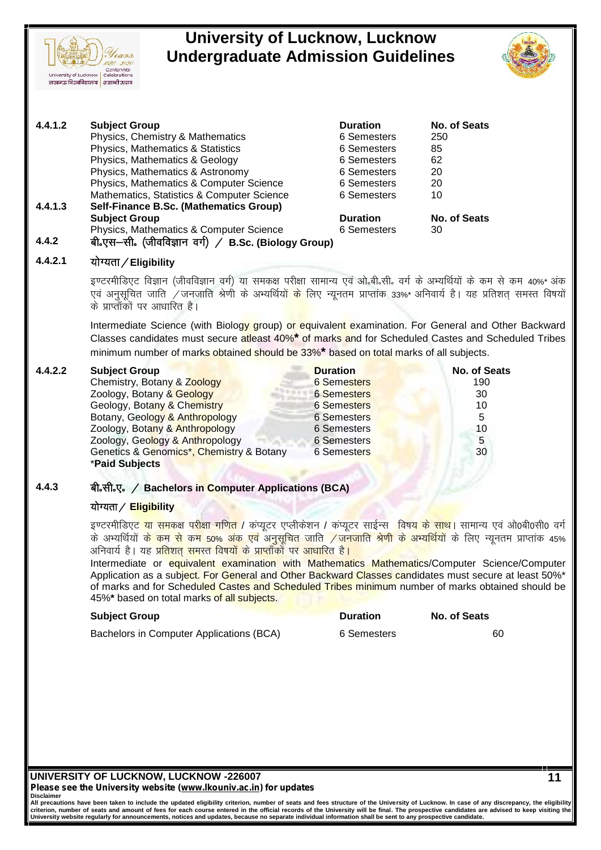

| 4.4.1.2 | <b>Subject Group</b>                                                                                                                                                | <b>Duration</b> | No. of Seats |
|---------|---------------------------------------------------------------------------------------------------------------------------------------------------------------------|-----------------|--------------|
|         | Physics, Chemistry & Mathematics                                                                                                                                    | 6 Semesters     | 250          |
|         | Physics, Mathematics & Statistics                                                                                                                                   | 6 Semesters     | 85           |
|         | Physics, Mathematics & Geology                                                                                                                                      | 6 Semesters     | 62           |
|         | Physics, Mathematics & Astronomy                                                                                                                                    | 6 Semesters     | 20           |
|         | Physics, Mathematics & Computer Science                                                                                                                             | 6 Semesters     | 20           |
|         | Mathematics, Statistics & Computer Science                                                                                                                          | 6 Semesters     | 10           |
| 4.4.1.3 | Self-Finance B.Sc. (Mathematics Group)                                                                                                                              |                 |              |
|         | <b>Subject Group</b>                                                                                                                                                | <b>Duration</b> | No. of Seats |
|         | Physics, Mathematics & Computer Science                                                                                                                             | 6 Semesters     | 30           |
| 4.4.2   | बी॰एस–सी॰ (जीवविज्ञान वर्ग) / B.Sc. (Biology Group)                                                                                                                 |                 |              |
| 4.4.2.1 | योग्यता / Eligibility                                                                                                                                               |                 |              |
|         | इण्टरमीडिएट विज्ञान (जीवविज्ञान वर्ग) या समकक्ष परीक्षा सामान्य एवं ओ.बी.सी. वर्ग के अभ्यर्थियों के कम से कम 40%* अंक                                               |                 |              |
|         | एवं अनुसूचित जाति /जनजाति श्रेणी के अभ्यर्थियो <mark>ं के</mark> लिए न्यूनतम प्राप्तांक 33%* अनिवार्य है। यह प्रतिशत् समस्त विषयों<br>के प्राप्ताँकों पर आधारित है। |                 |              |
|         |                                                                                                                                                                     |                 |              |

Intermediate Science (with Biology group) or equivalent examination. For General and Other Backward Classes candidates must secure atleast 40%**\*** of marks and for Scheduled Castes and Scheduled Tribes minimum number of marks obtained should be 33%**\*** based on total marks of all subjects.

Centennial

University of Lucknow | Celebrations लखनऊ विश्वविद्यालय | शताब्दी उत्सव

| 4.4.2.2 | <b>Subject Group</b>                                                                                      | <b>Duration</b>    | <b>No. of Seats</b> |
|---------|-----------------------------------------------------------------------------------------------------------|--------------------|---------------------|
|         | Chemistry, Botany & Zoology                                                                               | <b>6 Semesters</b> | 190                 |
|         | Zoology, Botany & Geology                                                                                 | <b>6</b> Semesters | 30                  |
|         | Geology, Botany & Chemistry                                                                               | <b>6 Semesters</b> | 10                  |
|         | Botany, Geology & Anthropology                                                                            | <b>6 Semesters</b> | 5                   |
|         | Zoology, Botany & Anthropology                                                                            | 6 Semesters        | 10                  |
|         | Zoology, Geology & Anthropology                                                                           | 6 Semesters        | 5                   |
|         | Genetics & Genomics*, Chemistry & Botany                                                                  | <b>6 Semesters</b> | 30                  |
|         | *Paid Subjects                                                                                            |                    |                     |
|         |                                                                                                           |                    |                     |
| 4.4.3   | बी.सी.ए. / Bachelors in Computer Applications (BCA)                                                       |                    |                     |
|         | योग्यता / Eligibility                                                                                     |                    |                     |
|         | इण्टरमीडिएट या समकक्ष परीक्षा गणित / कप्यूटर एप्लीकेशन / कप्यूटर साईन्स विषय के साथ। सामान्य एवं ओ०बी०सी० |                    |                     |

## 4.4.3 बी.सी.ए. ⁄ Bachelors i<mark>n C</mark>omputer Applications (BCA) <mark></mark>

Berietics & Genomics, Chemistry & Botary<br>
Traid Subjects<br>बी.सी.ए. / Bachelors in Computer Applications (BCA)<br>योग्यता / Eligibility<br>के अभ्यर्थियों के कम से कम 50% अंक एवं अनुसूचित जाति / जनजाति श्रेणी के अभ्यर्थियों के लिए and Subjects<br>बी.सी.ए. / Bachelors in Computer Applications (BCA)<br>कोग्यता / Eligibility<br>के अभ्यर्थियों के कम से कम 50% अंक एवं अनुसूचित जाति /जनजाति श्रेणी के अभ्यर्थियों के लिए न्यूनतम प्राप्तांक 45%<br>अनिवार्य है। यह प्रति बी.सी.ए. / Bachelors in Computer Applications (BCA)<br>योग्यता / <mark>Eligibility</mark><br>इण्टरमीडिएट या समकक्ष परीक्षा गणित / कंप्यूटर एप्लीकेशन / कंप्यूटर साईन्स ,विषय के सा<br>के अभ्यर्थियों क<mark>े कम से कम 50% अंक एवं अनुसूचित जाति / जनज</mark>

Intermediate or equivalent examination with Mathematics Mathematics/Computer Science/Computer Application as a subject. For General and Other Backward Classes candidates must secure at least 50%\* of marks and for Scheduled Castes and Scheduled Tribes minimum number of marks obtained should be 45%**\*** based on total marks of all subjects.

| <b>Subject Group</b>                     | <b>Duration</b> | No. of Seats |
|------------------------------------------|-----------------|--------------|
| Bachelors in Computer Applications (BCA) | 6 Semesters     | 60           |

**UNIVERSITY OF LUCKNOW, LUCKNOW -226007** *Please see the University website (www.lkouniv.ac.in) for updates* **Disclaimer**

| <b>Duration</b> | No. of Seats |
|-----------------|--------------|
| 6 Semesters     | 60           |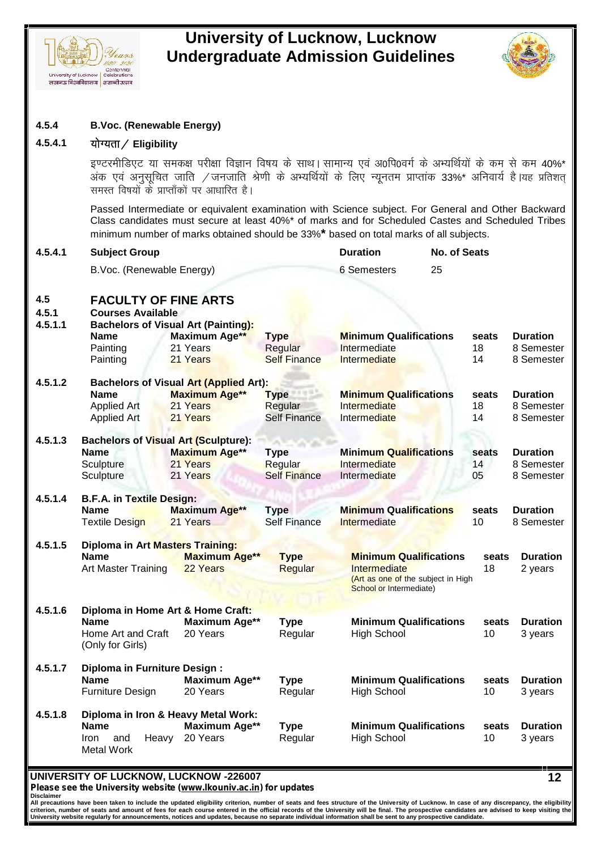



## **4.5.4 B.Voc. (Renewable Energy)**

b.Voc. (Renewable Energy)<br>योग्यता / Eligibility<br>इण्टरमीडिएट या समकक्ष परीक्षा विज्ञान विषय के साथ | सामान्य एवं अ0पि0वर्ग के अभ्यर्थियों के कम से कम 40%\*<br>अंक एवं अनुसूचित जाति /जनजाति श्रेणी के अभ्यर्थियों के लिए न्यूनतम **B.Voc. (Renewable Energy)<br>योग्यता / Eligibility<br>इण्टरमीडिएट या समकक्ष परीक्षा विज्ञान विषय के साथ | सामान्य एवं अ0पि0वर्ग के अभ्यर्थियों के कम से कम 40%\*<br>अंक एवं अनुसूचित जाति / जनजाति श्रेणी के अभ्यर्थियों के लिए न्यूनत B.Voc. (Renewable Energy)<br>योग्यता / Eligibility<br>इण्टरमीडिएट या समकक्ष परीक्षा विज्ञान विषय के साथ। सामान्<br>अंक एवं अनुसूचित जाति /जनजाति श्रेणी के अभ्यर्थियों के<br>समस्त विषयों के प्राप्ताँकों पर आधारित है।<br>Passed Intermed** 

Passed Intermediate or equivalent examination with Science subject. For General and Other Backward Class candidates must secure at least 40%\* of marks and for Scheduled Castes and Scheduled Tribes minimum number of marks obtained should be 33%**\*** based on total marks of all subjects.

| 4.5.4.1                 | <b>Subject Group</b>                                    |                                               |                     | <b>Duration</b>                                               | <b>No. of Seats</b> |       |                 |
|-------------------------|---------------------------------------------------------|-----------------------------------------------|---------------------|---------------------------------------------------------------|---------------------|-------|-----------------|
|                         | B.Voc. (Renewable Energy)                               |                                               |                     | 6 Semesters                                                   | 25                  |       |                 |
| 4.5<br>4.5.1<br>4.5.1.1 | <b>FACULTY OF FINE ARTS</b><br><b>Courses Available</b> | <b>Bachelors of Visual Art (Painting):</b>    |                     |                                                               |                     |       |                 |
|                         | Name                                                    | Maximum Age**                                 | <b>Type</b>         | <b>Minimum Qualifications</b>                                 |                     | seats | <b>Duration</b> |
|                         | Painting                                                | 21 Years                                      | Regular             | Intermediate                                                  |                     | 18    | 8 Semester      |
|                         | Painting                                                | 21 Years                                      | <b>Self Finance</b> | Intermediate                                                  |                     | 14    | 8 Semester      |
| 4.5.1.2                 |                                                         | <b>Bachelors of Visual Art (Applied Art):</b> |                     |                                                               |                     |       |                 |
|                         | <b>Name</b>                                             | <b>Maximum Age**</b>                          | <b>Type</b>         | <b>Minimum Qualifications</b>                                 |                     | seats | <b>Duration</b> |
|                         | Applied Art                                             | 21 Years                                      | Regular             | Intermediate                                                  |                     | 18    | 8 Semester      |
|                         | Applied Art                                             | 21 Years                                      | <b>Self Finance</b> | Intermediate                                                  |                     | 14    | 8 Semester      |
| 4.5.1.3                 |                                                         | <b>Bachelors of Visual Art (Sculpture):</b>   | <b>College</b>      |                                                               |                     |       |                 |
|                         | <b>Name</b>                                             | <b>Maximum Age**</b>                          | <b>Type</b>         | <b>Minimum Qualifications</b>                                 |                     | seats | <b>Duration</b> |
|                         | Sculpture                                               | 21 Years                                      | Regular             | Intermediate                                                  |                     | 14    | 8 Semester      |
|                         | Sculpture                                               | 21 Years                                      | <b>Self Finance</b> | Intermediate                                                  |                     | 05    | 8 Semester      |
| 4.5.1.4                 | <b>B.F.A. in Textile Design:</b>                        |                                               |                     |                                                               |                     |       |                 |
|                         | <b>Name</b>                                             | <b>Maximum Age**</b>                          | <b>Type</b>         | <b>Minimum Qualifications</b>                                 |                     | seats | <b>Duration</b> |
|                         | <b>Textile Design</b>                                   | 21 Years                                      | <b>Self Finance</b> | Intermediate                                                  |                     | 10    | 8 Semester      |
| 4.5.1.5                 | Diploma in Art Masters Training:                        |                                               |                     |                                                               |                     |       |                 |
|                         | <b>Name</b>                                             | <b>Maximum Age**</b>                          | <b>Type</b>         | <b>Minimum Qualifications</b>                                 |                     | seats | <b>Duration</b> |
|                         | Art Master Training                                     | 22 Years                                      | Regular             | Intermediate                                                  |                     | 18    | 2 years         |
|                         |                                                         |                                               |                     | (Art as one of the subject in High<br>School or Intermediate) |                     |       |                 |
| 4.5.1.6                 |                                                         | Diploma in Home Art & Home Craft:             |                     |                                                               |                     |       |                 |
|                         | <b>Name</b>                                             | <b>Maximum Age**</b>                          | <b>Type</b>         | <b>Minimum Qualifications</b>                                 |                     | seats | <b>Duration</b> |
|                         | Home Art and Craft<br>(Only for Girls)                  | 20 Years                                      | Regular             | <b>High School</b>                                            |                     | 10    | 3 years         |
| 4.5.1.7                 | <b>Diploma in Furniture Design:</b>                     |                                               |                     |                                                               |                     |       |                 |
|                         | <b>Name</b>                                             | Maximum Age**                                 | <b>Type</b>         | <b>Minimum Qualifications</b>                                 |                     | seats | <b>Duration</b> |
|                         | Furniture Design                                        | 20 Years                                      | Regular             | <b>High School</b>                                            |                     | 10    | 3 years         |
| 4.5.1.8                 |                                                         | Diploma in Iron & Heavy Metal Work:           |                     |                                                               |                     |       |                 |
|                         | <b>Name</b>                                             | Maximum Age**                                 | <b>Type</b>         | <b>Minimum Qualifications</b>                                 |                     | seats | <b>Duration</b> |
|                         | Iron<br>and<br>Heavy<br><b>Metal Work</b>               | 20 Years                                      | Regular             | <b>High School</b>                                            |                     | 10    | 3 years         |
|                         |                                                         |                                               |                     |                                                               |                     |       |                 |

**UNIVERSITY OF LUCKNOW, LUCKNOW -226007**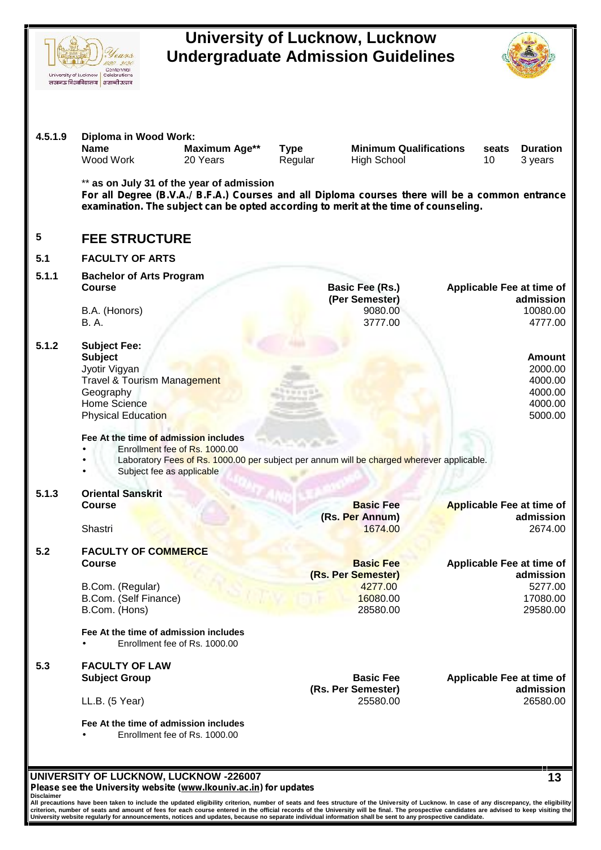| 4.5.1.9    | Diploma in Wood Work:<br><b>Name</b><br>Maximum Age**                                                                                                                                                                               | <b>Type</b>                              | <b>Minimum Qualifications</b><br><b>Duration</b><br>seats |
|------------|-------------------------------------------------------------------------------------------------------------------------------------------------------------------------------------------------------------------------------------|------------------------------------------|-----------------------------------------------------------|
|            | Wood Work<br>20 Years                                                                                                                                                                                                               | Regular<br><b>High School</b>            | 10<br>3 years                                             |
|            | ** as on July 31 of the year of admission<br>For all Degree (B.V.A./ B.F.A.) Courses and all Diploma courses there will be a common entrance<br>examination. The subject can be opted according to merit at the time of counseling. |                                          |                                                           |
| 5          | <b>FEE STRUCTURE</b>                                                                                                                                                                                                                |                                          |                                                           |
| 5.1        | <b>FACULTY OF ARTS</b>                                                                                                                                                                                                              |                                          |                                                           |
| 5.1.1      | <b>Bachelor of Arts Program</b>                                                                                                                                                                                                     |                                          |                                                           |
|            | <b>Course</b>                                                                                                                                                                                                                       | <b>Basic Fee (Rs.)</b><br>(Per Semester) | Applicable Fee at time of<br>admission                    |
|            | B.A. (Honors)                                                                                                                                                                                                                       | 9080.00                                  | 10080.00                                                  |
|            | <b>B.A.</b>                                                                                                                                                                                                                         | 3777.00                                  | 4777.00                                                   |
| 5.1.2      | <b>Subject Fee:</b>                                                                                                                                                                                                                 |                                          |                                                           |
|            | <b>Subject</b><br>Jyotir Vigyan                                                                                                                                                                                                     |                                          | <b>Amount</b><br>2000.00                                  |
|            | <b>Travel &amp; Tourism Management</b>                                                                                                                                                                                              |                                          | 4000.00                                                   |
|            | Geography                                                                                                                                                                                                                           |                                          | 4000.00                                                   |
|            | Home Science                                                                                                                                                                                                                        |                                          | 4000.00                                                   |
|            | <b>Physical Education</b>                                                                                                                                                                                                           |                                          |                                                           |
|            | Fee At the time of admission includes                                                                                                                                                                                               |                                          | 5000.00                                                   |
|            | Enrollment fee of Rs. 1000.00<br>Laboratory Fees of Rs. 1000.00 per subject per annum will be charged wherever applicable.<br>Subject fee as applicable                                                                             |                                          |                                                           |
| 5.1.3      | <b>Oriental Sanskrit</b>                                                                                                                                                                                                            |                                          |                                                           |
|            | <b>Course</b>                                                                                                                                                                                                                       | <b>Basic Fee</b>                         | <b>Applicable Fee at time of</b>                          |
|            | Shastri                                                                                                                                                                                                                             | (Rs. Per Annum)<br>1674.00               | admission<br>2674.00                                      |
|            |                                                                                                                                                                                                                                     |                                          |                                                           |
|            | <b>FACULTY OF COMMERCE</b><br><b>Course</b>                                                                                                                                                                                         |                                          |                                                           |
|            |                                                                                                                                                                                                                                     | <b>Basic Fee</b><br>(Rs. Per Semester)   | Applicable Fee at time of<br>admission                    |
|            | B.Com. (Regular)                                                                                                                                                                                                                    | 4277.00                                  | 5277.00                                                   |
|            | B.Com. (Self Finance)                                                                                                                                                                                                               | 16080.00<br>28580.00                     | 17080.00                                                  |
|            | B.Com. (Hons)                                                                                                                                                                                                                       |                                          | 29580.00                                                  |
|            | Fee At the time of admission includes<br>Enrollment fee of Rs. 1000.00                                                                                                                                                              |                                          |                                                           |
|            |                                                                                                                                                                                                                                     |                                          |                                                           |
|            | <b>FACULTY OF LAW</b><br><b>Subject Group</b>                                                                                                                                                                                       | <b>Basic Fee</b>                         |                                                           |
|            |                                                                                                                                                                                                                                     | (Rs. Per Semester)                       |                                                           |
|            | LL.B. (5 Year)                                                                                                                                                                                                                      | 25580.00                                 |                                                           |
| 5.2<br>5.3 | Fee At the time of admission includes<br>Enrollment fee of Rs. 1000.00                                                                                                                                                              |                                          | Applicable Fee at time of<br>admission<br>26580.00        |

Please see the University website (<u>www.Ikouniv.ac.in</u>) for updates<br>Disclaimer<br>All precautions have been taken to include the updated eligibility criterion, number of seats and fees structure of the University of Lucknow.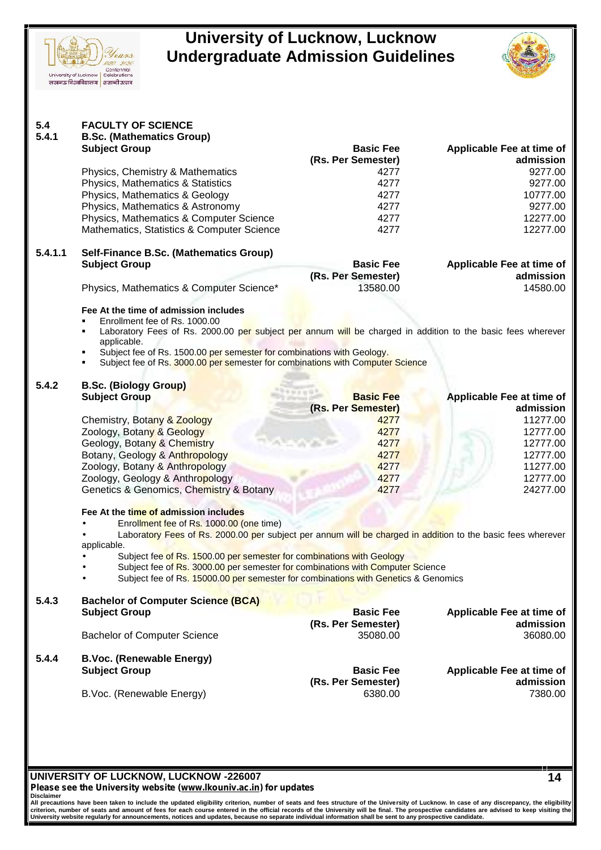



|         | <b>B.Sc. (Mathematics Group)</b><br><b>Subject Group</b>                                                                                                                   | <b>Basic Fee</b>               | Applicable Fee at time of                                                                               |  |  |  |
|---------|----------------------------------------------------------------------------------------------------------------------------------------------------------------------------|--------------------------------|---------------------------------------------------------------------------------------------------------|--|--|--|
|         |                                                                                                                                                                            | (Rs. Per Semester)             | admission                                                                                               |  |  |  |
|         | Physics, Chemistry & Mathematics                                                                                                                                           | 4277                           | 9277.00                                                                                                 |  |  |  |
|         | Physics, Mathematics & Statistics                                                                                                                                          | 4277                           | 9277.00                                                                                                 |  |  |  |
|         | Physics, Mathematics & Geology                                                                                                                                             | 4277                           | 10777.00                                                                                                |  |  |  |
|         | Physics, Mathematics & Astronomy                                                                                                                                           | 4277                           | 9277.00                                                                                                 |  |  |  |
|         | Physics, Mathematics & Computer Science                                                                                                                                    | 4277                           | 12277.00                                                                                                |  |  |  |
|         | Mathematics, Statistics & Computer Science                                                                                                                                 | 4277                           | 12277.00                                                                                                |  |  |  |
| 5.4.1.1 | Self-Finance B.Sc. (Mathematics Group)                                                                                                                                     |                                |                                                                                                         |  |  |  |
|         | <b>Subject Group</b>                                                                                                                                                       | <b>Basic Fee</b>               | Applicable Fee at time of                                                                               |  |  |  |
|         |                                                                                                                                                                            | (Rs. Per Semester)             | admission                                                                                               |  |  |  |
|         | Physics, Mathematics & Computer Science*                                                                                                                                   | 13580.00                       | 14580.00                                                                                                |  |  |  |
|         | Fee At the time of admission includes                                                                                                                                      |                                |                                                                                                         |  |  |  |
|         | Enrollment fee of Rs. 1000.00<br>Laboratory Fees of Rs. 2000.00 per subject per annum will be charged in addition to the basic fees wherever<br>٠                          |                                |                                                                                                         |  |  |  |
|         | applicable.                                                                                                                                                                |                                |                                                                                                         |  |  |  |
|         | Subject fee of Rs. 1500.00 per semester for combinations with Geology.<br>$\blacksquare$<br>Subject fee of Rs. 3000.00 per semester for combinations with Computer Science |                                |                                                                                                         |  |  |  |
| 5.4.2   | <b>B.Sc. (Biology Group)</b>                                                                                                                                               |                                |                                                                                                         |  |  |  |
|         | <b>Subject Group</b>                                                                                                                                                       | <b>Basic Fee</b>               | Applicable Fee at time of                                                                               |  |  |  |
|         |                                                                                                                                                                            | (Rs. Per Semester)             | admission                                                                                               |  |  |  |
|         | Chemistry, Botany & Zoology                                                                                                                                                | 4277                           | 11277.00                                                                                                |  |  |  |
|         | Zoology, Botany & Geology                                                                                                                                                  | 4277                           | 12777.00                                                                                                |  |  |  |
|         | Geology, Botany & Chemistry                                                                                                                                                | 4277                           | 12777.00                                                                                                |  |  |  |
|         | Botany, Geology & Anthropology                                                                                                                                             |                                |                                                                                                         |  |  |  |
|         |                                                                                                                                                                            |                                |                                                                                                         |  |  |  |
|         |                                                                                                                                                                            | 4277                           |                                                                                                         |  |  |  |
|         | Zoology, Botany & Anthropology                                                                                                                                             | 4277                           | 12777.00<br>11277.00                                                                                    |  |  |  |
|         | Zoology, Geology & Anthropology<br>Genetics & Genomics, Chemistry & Botany                                                                                                 | 4277<br>4277                   | 12777.00<br>24277.00                                                                                    |  |  |  |
|         |                                                                                                                                                                            |                                |                                                                                                         |  |  |  |
|         | Fee At the time of admission includes                                                                                                                                      |                                |                                                                                                         |  |  |  |
|         | Enrollment fee of Rs. 1000.00 (one time)                                                                                                                                   |                                |                                                                                                         |  |  |  |
|         | Laboratory Fees of Rs. 2000.00 per subject per annum will be charged in addition to the basic fees wherever<br>applicable.                                                 |                                |                                                                                                         |  |  |  |
|         | Subject fee of Rs. 1500.00 per semester for combinations with Geology                                                                                                      |                                |                                                                                                         |  |  |  |
|         | Subject fee of Rs. 3000.00 per semester for combinations with Computer Science                                                                                             |                                |                                                                                                         |  |  |  |
|         | Subject fee of Rs. 15000.00 per semester for combinations with Genetics & Genomics                                                                                         |                                |                                                                                                         |  |  |  |
| 5.4.3   | <b>Bachelor of Computer Science (BCA)</b>                                                                                                                                  |                                |                                                                                                         |  |  |  |
|         | <b>Subject Group</b>                                                                                                                                                       | <b>Basic Fee</b>               |                                                                                                         |  |  |  |
|         | <b>Bachelor of Computer Science</b>                                                                                                                                        | (Rs. Per Semester)<br>35080.00 |                                                                                                         |  |  |  |
|         |                                                                                                                                                                            |                                |                                                                                                         |  |  |  |
| 5.4.4   | <b>B.Voc. (Renewable Energy)</b>                                                                                                                                           |                                |                                                                                                         |  |  |  |
|         | <b>Subject Group</b>                                                                                                                                                       | <b>Basic Fee</b>               |                                                                                                         |  |  |  |
|         | B.Voc. (Renewable Energy)                                                                                                                                                  | (Rs. Per Semester)<br>6380.00  | Applicable Fee at time of<br>admission<br>36080.00<br>Applicable Fee at time of<br>admission<br>7380.00 |  |  |  |

**Disclaimer** All precautions have been taken to include the updated eligibility criterion, number of seats and fees structure of the University of Lucknow. In case of any discrepancy, the eligibility|<br>criterion, number of seats and amo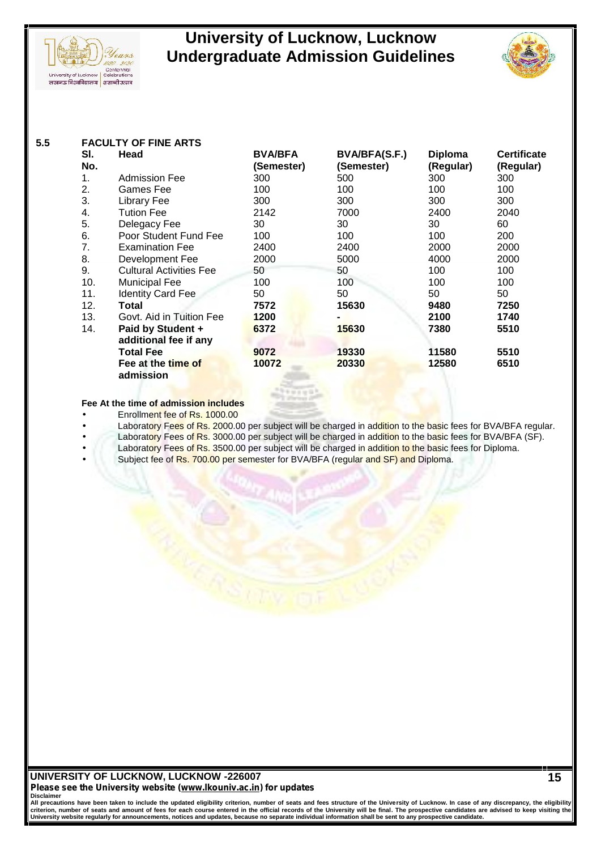



| 5.5 | <b>FACULTY OF FINE ARTS</b> |                                 |                |                      |                |                    |
|-----|-----------------------------|---------------------------------|----------------|----------------------|----------------|--------------------|
|     | SI.                         | Head                            | <b>BVA/BFA</b> | <b>BVA/BFA(S.F.)</b> | <b>Diploma</b> | <b>Certificate</b> |
|     | No.                         |                                 | (Semester)     | (Semester)           | (Regular)      | (Regular)          |
|     | 1.                          | <b>Admission Fee</b>            | 300            | 500                  | 300            | 300                |
|     | 2.                          | Games Fee                       | 100            | 100                  | 100            | 100                |
|     | 3.                          | Library Fee                     | 300            | 300                  | 300            | 300                |
|     | 4.                          | Tution Fee                      | 2142           | 7000                 | 2400           | 2040               |
|     | 5.                          | Delegacy Fee                    | 30             | 30                   | 30             | 60                 |
|     | 6.                          | Poor Student Fund Fee           | 100            | 100                  | 100            | 200                |
|     | 7.                          | <b>Examination Fee</b>          | 2400           | 2400                 | 2000           | 2000               |
|     | 8.                          | Development Fee                 | 2000           | 5000                 | 4000           | 2000               |
|     | 9.                          | <b>Cultural Activities Fee</b>  | 50             | 50                   | 100            | 100                |
|     | 10.                         | <b>Municipal Fee</b>            | 100            | 100                  | 100            | 100                |
|     | 11.                         | <b>Identity Card Fee</b>        | 50             | 50                   | 50             | 50                 |
|     | 12.                         | Total                           | 7572           | 15630                | 9480           | 7250               |
|     | 13.                         | Govt. Aid in Tuition Fee        | 1200           |                      | 2100           | 1740               |
|     | 14.                         | Paid by Student +               | 6372           | 15630                | 7380           | 5510               |
|     |                             | additional fee if any           |                |                      |                |                    |
|     |                             | <b>Total Fee</b>                | 9072           | 19330                | 11580          | 5510               |
|     |                             | Fee at the time of<br>admission | 10072          | 20330                | 12580          | 6510               |

**Fee At the time of admission includes**

- Enrollment fee of Rs. 1000.00
- Laboratory Fees of Rs. 2000.00 per subject will be charged in addition to the basic fees for BVA/BFA regular.
- Laboratory Fees of Rs. 3000.00 per subject will be charged in addition to the basic fees for BVA/BFA (SF).
	- Laboratory Fees of Rs. 3500.00 per subject will be charged in addition to the basic fees for Diploma.
	- Subject fee of Rs. 700.00 per semester for BVA/BFA (regular and SF) and Diploma.

# **UNIVERSITY OF LUCKNOW, LUCKNOW -226007** *Please see the University website (www.lkouniv.ac.in) for updates*

Disclaimer<br>All precautions have been taken to include the updated eligibility criterion, number of seats and fees structure of the University of Lucknow. In case of any discrepancy, the eligibility<br>criterion, number of sea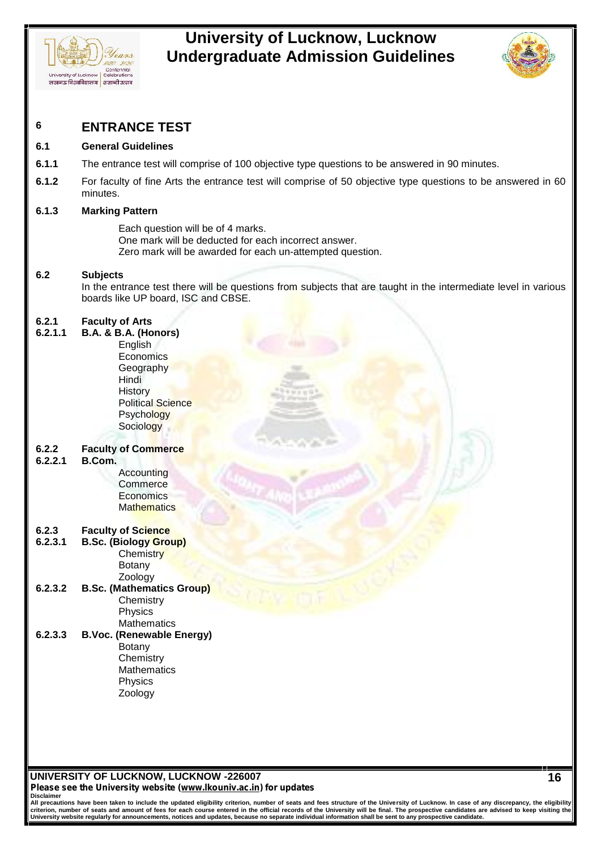



# **6 ENTRANCE TEST**

### **6.1 General Guidelines**

- **6.1.1** The entrance test will comprise of 100 objective type questions to be answered in 90 minutes.
- **6.1.2** For faculty of fine Arts the entrance test will comprise of 50 objective type questions to be answered in 60 minutes.

### **6.1.3 Marking Pattern**

Each question will be of 4 marks. One mark will be deducted for each incorrect answer. Zero mark will be awarded for each un-attempted question.

### **6.2 Subjects**

In the entrance test there will be questions from subjects that are taught in the intermediate level in various boards like UP board, ISC and CBSE.

### **6.2.1 Faculty of Arts**

| 6.2.1.1 | B.A. & B.A. (Honors)             |  |
|---------|----------------------------------|--|
|         | English                          |  |
|         | <b>Economics</b>                 |  |
|         | Geography                        |  |
|         | Hindi                            |  |
|         | <b>History</b>                   |  |
|         | <b>Political Science</b>         |  |
|         | <b>Psychology</b>                |  |
|         | Sociology                        |  |
|         |                                  |  |
| 6.2.2   | <b>Faculty of Commerce</b>       |  |
| 6.2.2.1 | B.Com.                           |  |
|         | Accounting                       |  |
|         | Commerce                         |  |
|         | Economics                        |  |
|         | Mathematics                      |  |
|         |                                  |  |
| 6.2.3   | <b>Faculty of Science</b>        |  |
| 6.2.3.1 | <b>B.Sc. (Biology Group)</b>     |  |
|         | Chemistry                        |  |
|         | <b>Botany</b>                    |  |
|         | Zoology                          |  |
| 6.2.3.2 | <b>B.Sc. (Mathematics Group)</b> |  |
|         | Chemistry                        |  |
|         | Physics                          |  |
|         | Mathematics                      |  |
| 6.2.3.3 | <b>B.Voc. (Renewable Energy)</b> |  |
|         | Botany                           |  |
|         | Chemistry<br><b>Mathematics</b>  |  |
|         |                                  |  |
|         | Physics                          |  |
|         | Zoology                          |  |
|         |                                  |  |
|         |                                  |  |
|         |                                  |  |

**UNIVERSITY OF LUCKNOW, LUCKNOW -226007** *Please see the University website (www.lkouniv.ac.in) for updates* **Disclaimer**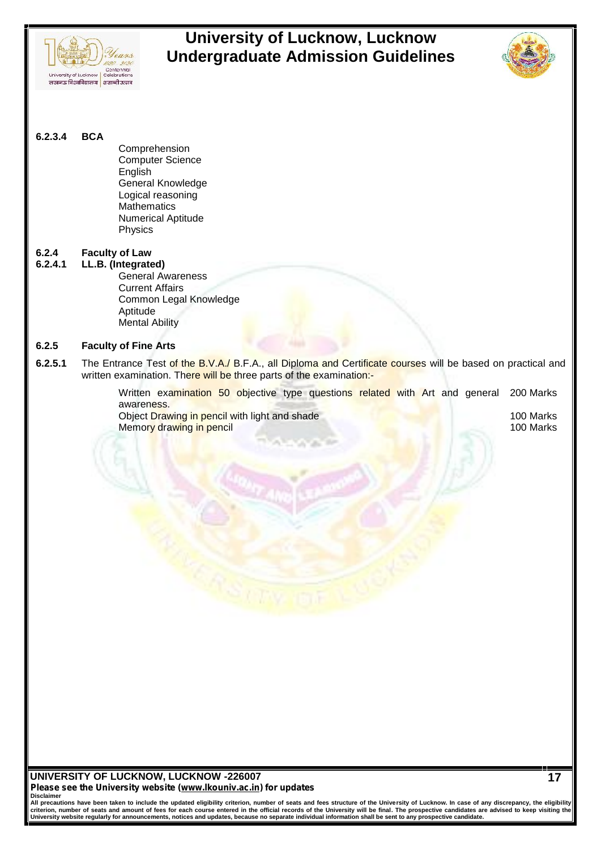



**6.2.3.4 BCA**

Comprehension Computer Science English General Knowledge Logical reasoning **Mathematics** Numerical Aptitude Physics

# **6.2.4 Faculty of Law**

**6.2.4.1 LL.B. (Integrated)** General Awareness Current Affairs Common Legal Knowledge Aptitude Mental Ability

### **6.2.5 Faculty of Fine Arts**

**6.2.5.1** The Entrance Test of the B.V.A./ B.F.A., all Diploma and Certificate courses will be based on practical and written examination. There will be three parts of the examination:-

> Written examination 50 objective type questions related with Art and general awareness. 200 Marks

> Object Drawing in pencil with light and shade 100 Marks 100 Marks Memor<mark>y drawing in pencil 100 Marks and the state of the state of the state of the state of the state of the state of the state of the state of the state of the state of the state of the state of the state of the state of </mark>

**UNIVERSITY OF LUCKNOW, LUCKNOW -226007** *Please see the University website (www.lkouniv.ac.in) for updates*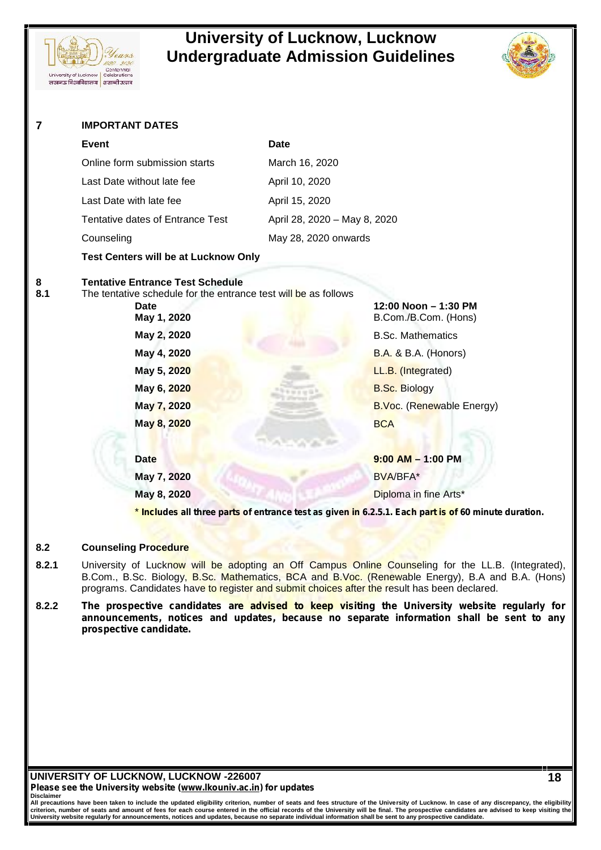



**18**

| 7        | <b>IMPORTANT DATES</b>                                                                                                                                                                                                      |                                                                                                                                                                                                      |  |  |
|----------|-----------------------------------------------------------------------------------------------------------------------------------------------------------------------------------------------------------------------------|------------------------------------------------------------------------------------------------------------------------------------------------------------------------------------------------------|--|--|
|          | <b>Event</b>                                                                                                                                                                                                                | <b>Date</b>                                                                                                                                                                                          |  |  |
|          | Online form submission starts                                                                                                                                                                                               | March 16, 2020                                                                                                                                                                                       |  |  |
|          | Last Date without late fee                                                                                                                                                                                                  | April 10, 2020                                                                                                                                                                                       |  |  |
|          | Last Date with late fee                                                                                                                                                                                                     | April 15, 2020                                                                                                                                                                                       |  |  |
|          | Tentative dates of Entrance Test                                                                                                                                                                                            | April 28, 2020 - May 8, 2020                                                                                                                                                                         |  |  |
|          | Counseling                                                                                                                                                                                                                  | May 28, 2020 onwards                                                                                                                                                                                 |  |  |
|          | Test Centers will be at Lucknow Only                                                                                                                                                                                        |                                                                                                                                                                                                      |  |  |
| 8<br>8.1 | <b>Tentative Entrance Test Schedule</b><br>The tentative schedule for the entrance test will be as follows<br>Date<br>May 1, 2020<br>May 2, 2020<br>May 4, 2020<br>May 5, 2020<br>May 6, 2020<br>May 7, 2020<br>May 8, 2020 | 12:00 Noon - 1:30 PM<br>B.Com./B.Com. (Hons)<br><b>B.Sc. Mathematics</b><br><b>B.A. &amp; B.A. (Honors)</b><br>LL.B. (Integrated)<br><b>B.Sc. Biology</b><br>B.Voc. (Renewable Energy)<br><b>BCA</b> |  |  |
|          | <b>Date</b>                                                                                                                                                                                                                 | $9:00$ AM $-$ 1:00 PM                                                                                                                                                                                |  |  |
|          | May 7, 2020                                                                                                                                                                                                                 | <b>BVA/BFA*</b>                                                                                                                                                                                      |  |  |
|          | May 8, 2020                                                                                                                                                                                                                 | Diploma in fine Arts*                                                                                                                                                                                |  |  |
|          |                                                                                                                                                                                                                             | * Includes all three parts of entrance test as given in 6.2.5.1. Each part is of 60 minute duration.                                                                                                 |  |  |

### **8.2 Counseling Procedure**

- 8.2.1 University of Lucknow will be adopting an Off Campus Online Counseling for the LL.B. (Integrated), B.Com., B.Sc. Biology, B.Sc. Mathematics, BCA and B.Voc. (Renewable Energy), B.A and B.A. (Hons) programs. Candidates have to register and submit choices after the result has been declared.
- **8.2.2** *The prospective candidates are advised to keep visiting the University website regularly for announcements, notices and updates, because no separate information shall be sent to any prospective candidate.*

**UNIVERSITY OF LUCKNOW, LUCKNOW -226007** *Please see the University website (www.lkouniv.ac.in) for updates* **Disclaimer**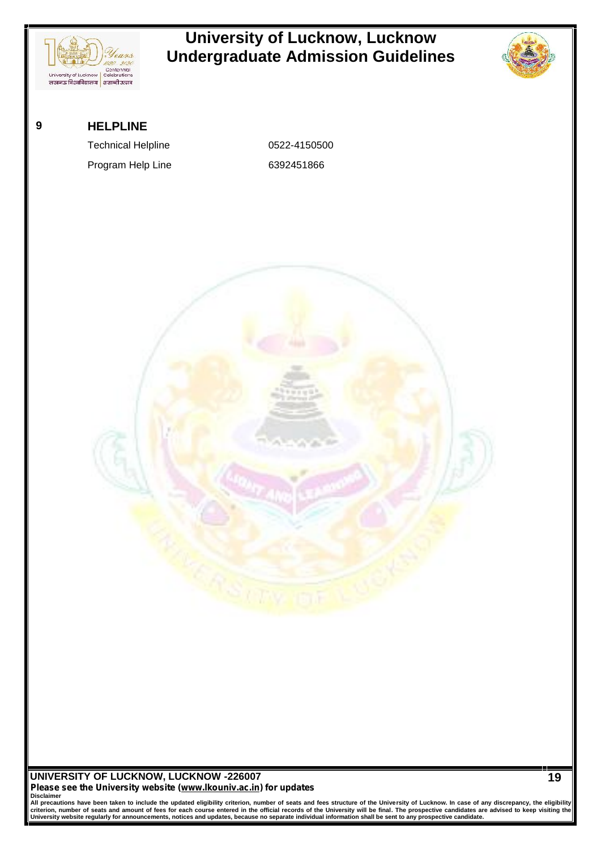

Disclaimer<br>All precautions have been taken to include the updated eligibility criterion, number of seats and fees structure of the University of Lucknow. In case of any discrepancy, the eligibility<br>criterion, number of sea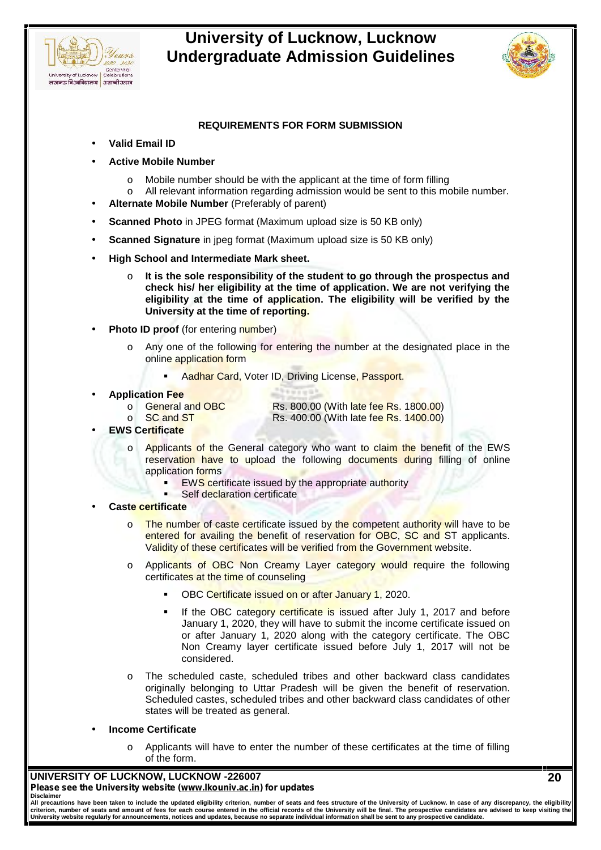



## **REQUIREMENTS FOR FORM SUBMISSION**

- **Valid Email ID**
- **Active Mobile Number**
	- o Mobile number should be with the applicant at the time of form filling
	- o All relevant information regarding admission would be sent to this mobile number.
- **Alternate Mobile Number** (Preferably of parent)
- **Scanned Photo** in JPEG format (Maximum upload size is 50 KB only)
- **Scanned Signature** in jpeg format (Maximum upload size is 50 KB only)
- **High School and Intermediate Mark sheet.**
	- o **It is the sole responsibility of the student to go through the prospectus and check his/ her eligibility at the time of application. We are not verifying the eligibility at the time of application. The eligibility will be verified by the University at the time of reporting.**
- **Photo ID proof** (for entering number)
	- Any one of the following for entering the number at the designated place in the online application form
		- Aadhar Card, Voter ID, Driving License, Passport.

# **Application Fee**<br>**Application Fee**

Rs. 800.00 (With late fee Rs. 1800.00)

 $\circ$  SC and ST Rs. 400.00 (With late fee Rs. 1400.00)

- **EWS Certificate**
	- o Applicants of the General category who want to claim the benefit of the EWS reservation have to upload the following documents during filling of online application forms
		- EWS certificate issued by the appropriate authority
		- Self declaration certificate

### **Caste certificate**

- $\circ$  The number of caste certificate issued by the competent authority will have to be entered for availing the benefit of reservation for OBC, SC and ST applicants. Validity of these certificates will be verified from the Government website.
- o Applicants of OBC Non Creamy Layer category would require the following certificates at the time of counseling
	- OBC Certificate issued on or after January 1, 2020.
	- If the OBC category certificate is issued after July 1, 2017 and before January 1, 2020, they will have to submit the income certificate issued on or after January 1, 2020 along with the category certificate. The OBC Non Creamy layer certificate issued before July 1, 2017 will not be considered.
- The scheduled caste, scheduled tribes and other backward class candidates originally belonging to Uttar Pradesh will be given the benefit of reservation. Scheduled castes, scheduled tribes and other backward class candidates of other states will be treated as general.

### **Income Certificate**

 $\circ$  Applicants will have to enter the number of these certificates at the time of filling of the form.

### **UNIVERSITY OF LUCKNOW, LUCKNOW -226007** *Please see the University website (www.lkouniv.ac.in) for updates* **Disclaimer**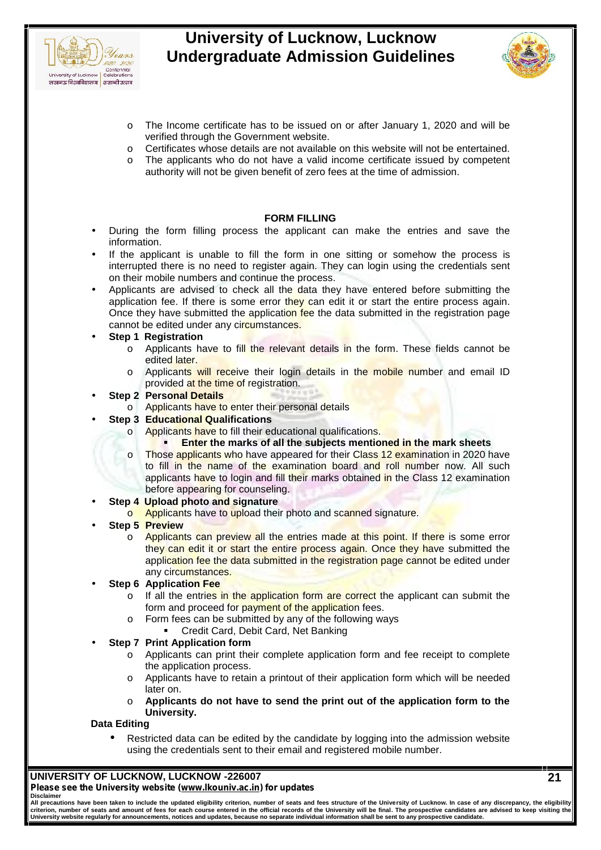



- o The Income certificate has to be issued on or after January 1, 2020 and will be verified through the Government website.
- o Certificates whose details are not available on this website will not be entertained.
- o The applicants who do not have a valid income certificate issued by competent authority will not be given benefit of zero fees at the time of admission.

### **FORM FILLING**

- During the form filling process the applicant can make the entries and save the information.
- If the applicant is unable to fill the form in one sitting or somehow the process is interrupted there is no need to register again. They can login using the credentials sent on their mobile numbers and continue the process.
- Applicants are advised to check all the data they have entered before submitting the application fee. If there is some error they can edit it or start the entire process again. Once they have submitted the application fee the data submitted in the registration page cannot be edited under any circumstances.
- **Step 1 Registration**
	- $\circ$  Applicants have to fill the relevant details in the form. These fields cannot be edited later.
	- o Applicants will receive their login details in the mobile number and email ID provided at the time of registration.
- **Step 2 Personal Details**
	- o Applicants have to enter their personal details
- **Step 3 Educational Qualifications**
	- o **Applicants have to fill their educational qualifications.** 
		- **Enter the marks of all the subjects mentioned in the mark sheets**
	- o Those applicants who have appeared for their Class 12 examination in 2020 have to fill in the name of the examination board and roll number now. All such applicants have to login and fill their marks obtained in the Class 12 examination before appearing for counseling.
- **Step 4 Upload photo and signature**
	- o Applicants have to upload their photo and scanned signature.
- **Step 5 Preview**
	- o Applicants can preview all the entries made at this point. If there is some error they can edit it or start the entire process again. Once they have submitted the application fee the data submitted in the registration page cannot be edited under any circumstances.

### **Step 6 Application Fee**

- $\circ$  If all the entries in the application form are correct the applicant can submit the form and proceed for payment of the application fees.
- o Form fees can be submitted by any of the following ways
	- Credit Card, Debit Card, Net Banking
- **Step 7 Print Application form**
	- o Applicants can print their complete application form and fee receipt to complete the application process.
	- o Applicants have to retain a printout of their application form which will be needed later on.
	- o **Applicants do not have to send the print out of the application form to the University.**

### **Data Editing**

 Restricted data can be edited by the candidate by logging into the admission website using the credentials sent to their email and registered mobile number.

### **UNIVERSITY OF LUCKNOW, LUCKNOW -226007** *Please see the University website (www.lkouniv.ac.in) for updates* **Disclaimer**